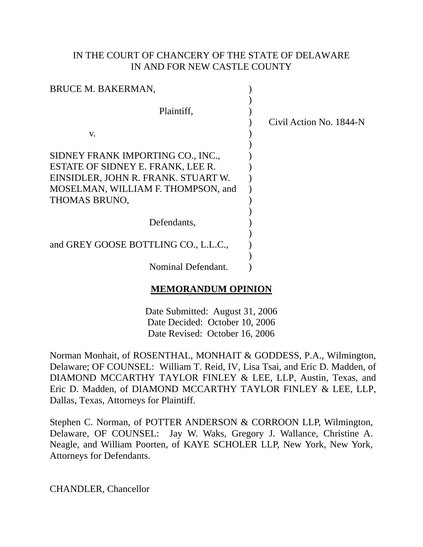## IN THE COURT OF CHANCERY OF THE STATE OF DELAWARE IN AND FOR NEW CASTLE COUNTY

| <b>BRUCE M. BAKERMAN,</b>                                                                                                                                                  |                         |
|----------------------------------------------------------------------------------------------------------------------------------------------------------------------------|-------------------------|
| Plaintiff,                                                                                                                                                                 | Civil Action No. 1844-N |
| V.<br>SIDNEY FRANK IMPORTING CO., INC.,<br>ESTATE OF SIDNEY E. FRANK, LEE R.<br>EINSIDLER, JOHN R. FRANK. STUART W.<br>MOSELMAN, WILLIAM F. THOMPSON, and<br>THOMAS BRUNO, |                         |
| Defendants,                                                                                                                                                                |                         |
| and GREY GOOSE BOTTLING CO., L.L.C.,                                                                                                                                       |                         |
| Nominal Defendant.                                                                                                                                                         |                         |

# **MEMORANDUM OPINION**

Date Submitted: August 31, 2006 Date Decided: October 10, 2006 Date Revised: October 16, 2006

Norman Monhait, of ROSENTHAL, MONHAIT & GODDESS, P.A., Wilmington, Delaware; OF COUNSEL: William T. Reid, IV, Lisa Tsai, and Eric D. Madden, of DIAMOND MCCARTHY TAYLOR FINLEY & LEE, LLP, Austin, Texas, and Eric D. Madden, of DIAMOND MCCARTHY TAYLOR FINLEY & LEE, LLP, Dallas, Texas, Attorneys for Plaintiff.

Stephen C. Norman, of POTTER ANDERSON & CORROON LLP, Wilmington, Delaware, OF COUNSEL: Jay W. Waks, Gregory J. Wallance, Christine A. Neagle, and William Poorten, of KAYE SCHOLER LLP, New York, New York, Attorneys for Defendants.

CHANDLER, Chancellor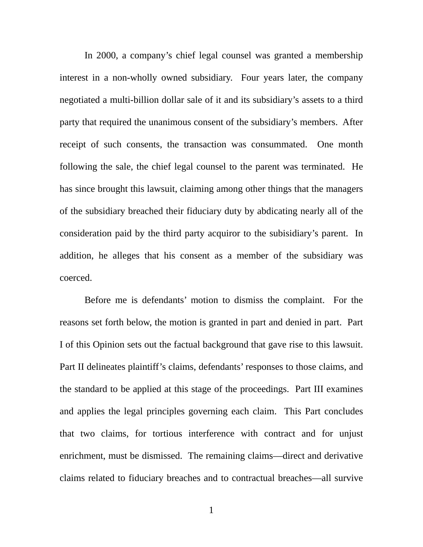In 2000, a company's chief legal counsel was granted a membership interest in a non-wholly owned subsidiary. Four years later, the company negotiated a multi-billion dollar sale of it and its subsidiary's assets to a third party that required the unanimous consent of the subsidiary's members. After receipt of such consents, the transaction was consummated. One month following the sale, the chief legal counsel to the parent was terminated. He has since brought this lawsuit, claiming among other things that the managers of the subsidiary breached their fiduciary duty by abdicating nearly all of the consideration paid by the third party acquiror to the subisidiary's parent. In addition, he alleges that his consent as a member of the subsidiary was coerced.

Before me is defendants' motion to dismiss the complaint. For the reasons set forth below, the motion is granted in part and denied in part. Part I of this Opinion sets out the factual background that gave rise to this lawsuit. Part II delineates plaintiff's claims, defendants' responses to those claims, and the standard to be applied at this stage of the proceedings. Part III examines and applies the legal principles governing each claim. This Part concludes that two claims, for tortious interference with contract and for unjust enrichment, must be dismissed. The remaining claims—direct and derivative claims related to fiduciary breaches and to contractual breaches—all survive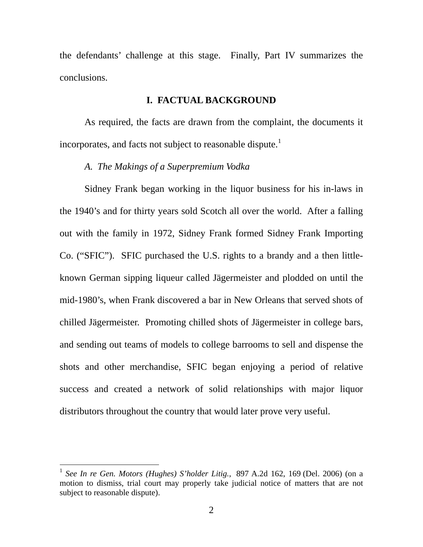the defendants' challenge at this stage. Finally, Part IV summarizes the conclusions.

### **I. FACTUAL BACKGROUND**

As required, the facts are drawn from the complaint, the documents it incorporates, and facts not subject to reasonable dispute.<sup>[1](#page-2-0)</sup>

#### *A. The Makings of a Superpremium Vodka*

Sidney Frank began working in the liquor business for his in-laws in the 1940's and for thirty years sold Scotch all over the world. After a falling out with the family in 1972, Sidney Frank formed Sidney Frank Importing Co. ("SFIC"). SFIC purchased the U.S. rights to a brandy and a then littleknown German sipping liqueur called Jägermeister and plodded on until the mid-1980's, when Frank discovered a bar in New Orleans that served shots of chilled Jägermeister. Promoting chilled shots of Jägermeister in college bars, and sending out teams of models to college barrooms to sell and dispense the shots and other merchandise, SFIC began enjoying a period of relative success and created a network of solid relationships with major liquor distributors throughout the country that would later prove very useful.

<span id="page-2-0"></span><sup>1</sup> *See In re Gen. Motors (Hughes) S'holder Litig.*, 897 A.2d 162, 169 (Del. 2006) (on a motion to dismiss, trial court may properly take judicial notice of matters that are not subject to reasonable dispute).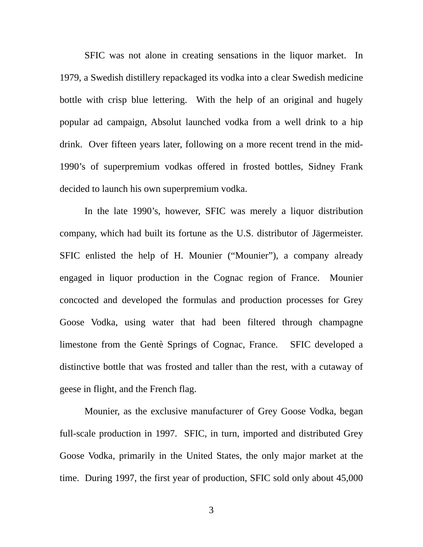SFIC was not alone in creating sensations in the liquor market. In 1979, a Swedish distillery repackaged its vodka into a clear Swedish medicine bottle with crisp blue lettering. With the help of an original and hugely popular ad campaign, Absolut launched vodka from a well drink to a hip drink. Over fifteen years later, following on a more recent trend in the mid-1990's of superpremium vodkas offered in frosted bottles, Sidney Frank decided to launch his own superpremium vodka.

In the late 1990's, however, SFIC was merely a liquor distribution company, which had built its fortune as the U.S. distributor of Jägermeister. SFIC enlisted the help of H. Mounier ("Mounier"), a company already engaged in liquor production in the Cognac region of France. Mounier concocted and developed the formulas and production processes for Grey Goose Vodka, using water that had been filtered through champagne limestone from the Gentè Springs of Cognac, France. SFIC developed a distinctive bottle that was frosted and taller than the rest, with a cutaway of geese in flight, and the French flag.

Mounier, as the exclusive manufacturer of Grey Goose Vodka, began full-scale production in 1997. SFIC, in turn, imported and distributed Grey Goose Vodka, primarily in the United States, the only major market at the time. During 1997, the first year of production, SFIC sold only about 45,000

3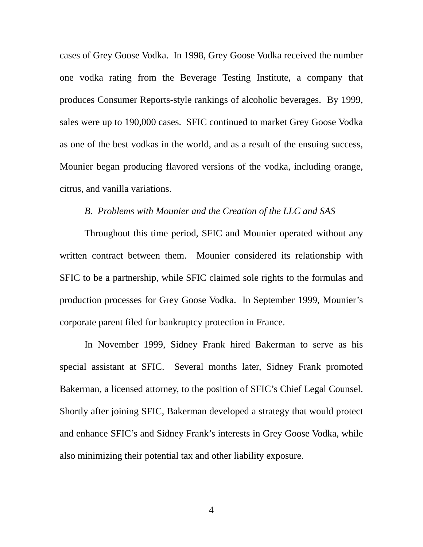cases of Grey Goose Vodka. In 1998, Grey Goose Vodka received the number one vodka rating from the Beverage Testing Institute, a company that produces Consumer Reports-style rankings of alcoholic beverages. By 1999, sales were up to 190,000 cases. SFIC continued to market Grey Goose Vodka as one of the best vodkas in the world, and as a result of the ensuing success, Mounier began producing flavored versions of the vodka, including orange, citrus, and vanilla variations.

## *B. Problems with Mounier and the Creation of the LLC and SAS*

Throughout this time period, SFIC and Mounier operated without any written contract between them. Mounier considered its relationship with SFIC to be a partnership, while SFIC claimed sole rights to the formulas and production processes for Grey Goose Vodka. In September 1999, Mounier's corporate parent filed for bankruptcy protection in France.

In November 1999, Sidney Frank hired Bakerman to serve as his special assistant at SFIC. Several months later, Sidney Frank promoted Bakerman, a licensed attorney, to the position of SFIC's Chief Legal Counsel. Shortly after joining SFIC, Bakerman developed a strategy that would protect and enhance SFIC's and Sidney Frank's interests in Grey Goose Vodka, while also minimizing their potential tax and other liability exposure.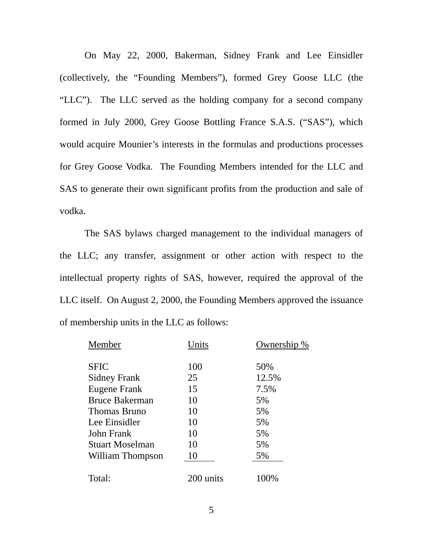On May 22, 2000, Bakerman, Sidney Frank and Lee Einsidler (collectively, the "Founding Members"), formed Grey Goose LLC (the "LLC"). The LLC served as the holding company for a second company formed in July 2000, Grey Goose Bottling France S.A.S. ("SAS"), which would acquire Mounier's interests in the formulas and productions processes for Grey Goose Vodka. The Founding Members intended for the LLC and SAS to generate their own significant profits from the production and sale of vodka.

The SAS bylaws charged management to the individual managers of the LLC; any transfer, assignment or other action with respect to the intellectual property rights of SAS, however, required the approval of the LLC itself. On August 2, 2000, the Founding Members approved the issuance of membership units in the LLC as follows:

| Member                 | Jnits     | Ownership<br>% |
|------------------------|-----------|----------------|
| <b>SFIC</b>            | 100       | 50%            |
| <b>Sidney Frank</b>    | 25        | 12.5%          |
| Eugene Frank           | 15        | 7.5%           |
| <b>Bruce Bakerman</b>  | 10        | 5%             |
| <b>Thomas Bruno</b>    | 10        | 5%             |
| Lee Einsidler          | 10        | 5%             |
| <b>John Frank</b>      | 10        | 5%             |
| <b>Stuart Moselman</b> | 10        | 5%             |
| William Thompson       | 10        | 5%             |
| Total:                 | 200 units | 100%           |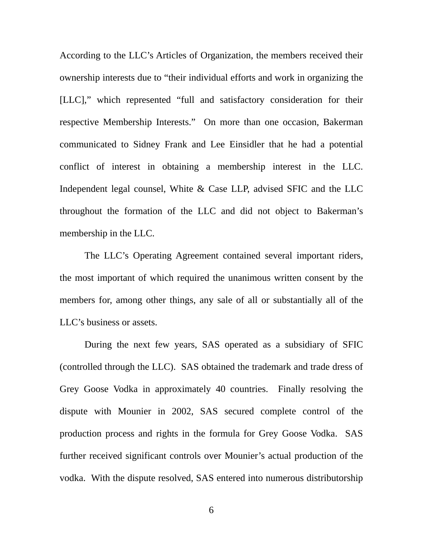According to the LLC's Articles of Organization, the members received their ownership interests due to "their individual efforts and work in organizing the [LLC]," which represented "full and satisfactory consideration for their respective Membership Interests." On more than one occasion, Bakerman communicated to Sidney Frank and Lee Einsidler that he had a potential conflict of interest in obtaining a membership interest in the LLC. Independent legal counsel, White & Case LLP, advised SFIC and the LLC throughout the formation of the LLC and did not object to Bakerman's membership in the LLC.

The LLC's Operating Agreement contained several important riders, the most important of which required the unanimous written consent by the members for, among other things, any sale of all or substantially all of the LLC's business or assets.

During the next few years, SAS operated as a subsidiary of SFIC (controlled through the LLC). SAS obtained the trademark and trade dress of Grey Goose Vodka in approximately 40 countries. Finally resolving the dispute with Mounier in 2002, SAS secured complete control of the production process and rights in the formula for Grey Goose Vodka. SAS further received significant controls over Mounier's actual production of the vodka. With the dispute resolved, SAS entered into numerous distributorship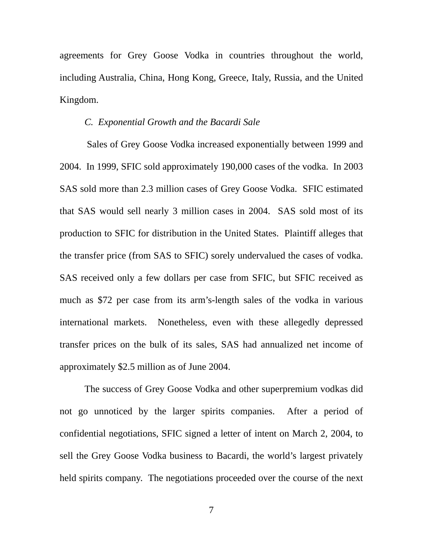agreements for Grey Goose Vodka in countries throughout the world, including Australia, China, Hong Kong, Greece, Italy, Russia, and the United Kingdom.

## *C. Exponential Growth and the Bacardi Sale*

Sales of Grey Goose Vodka increased exponentially between 1999 and 2004. In 1999, SFIC sold approximately 190,000 cases of the vodka. In 2003 SAS sold more than 2.3 million cases of Grey Goose Vodka. SFIC estimated that SAS would sell nearly 3 million cases in 2004. SAS sold most of its production to SFIC for distribution in the United States. Plaintiff alleges that the transfer price (from SAS to SFIC) sorely undervalued the cases of vodka. SAS received only a few dollars per case from SFIC, but SFIC received as much as \$72 per case from its arm's-length sales of the vodka in various international markets. Nonetheless, even with these allegedly depressed transfer prices on the bulk of its sales, SAS had annualized net income of approximately \$2.5 million as of June 2004.

The success of Grey Goose Vodka and other superpremium vodkas did not go unnoticed by the larger spirits companies. After a period of confidential negotiations, SFIC signed a letter of intent on March 2, 2004, to sell the Grey Goose Vodka business to Bacardi, the world's largest privately held spirits company. The negotiations proceeded over the course of the next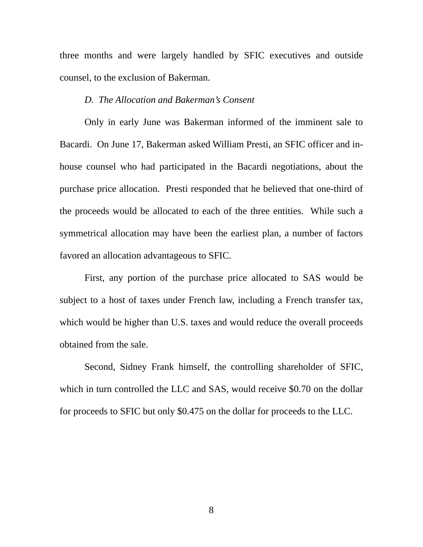three months and were largely handled by SFIC executives and outside counsel, to the exclusion of Bakerman.

## *D. The Allocation and Bakerman's Consent*

Only in early June was Bakerman informed of the imminent sale to Bacardi. On June 17, Bakerman asked William Presti, an SFIC officer and inhouse counsel who had participated in the Bacardi negotiations, about the purchase price allocation. Presti responded that he believed that one-third of the proceeds would be allocated to each of the three entities. While such a symmetrical allocation may have been the earliest plan, a number of factors favored an allocation advantageous to SFIC.

First, any portion of the purchase price allocated to SAS would be subject to a host of taxes under French law, including a French transfer tax, which would be higher than U.S. taxes and would reduce the overall proceeds obtained from the sale.

Second, Sidney Frank himself, the controlling shareholder of SFIC, which in turn controlled the LLC and SAS, would receive \$0.70 on the dollar for proceeds to SFIC but only \$0.475 on the dollar for proceeds to the LLC.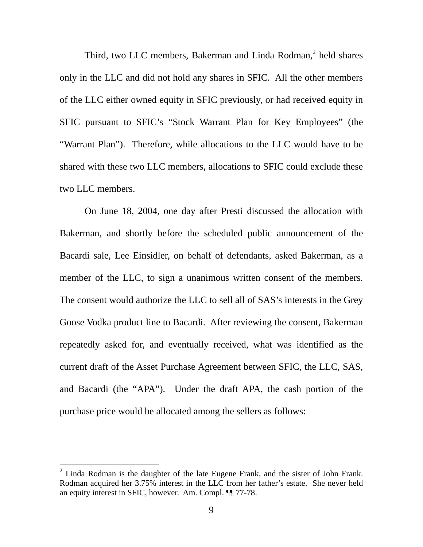Third, two LLC members, Bakerman and Linda Rodman,<sup>[2](#page-9-0)</sup> held shares only in the LLC and did not hold any shares in SFIC. All the other members of the LLC either owned equity in SFIC previously, or had received equity in SFIC pursuant to SFIC's "Stock Warrant Plan for Key Employees" (the "Warrant Plan"). Therefore, while allocations to the LLC would have to be shared with these two LLC members, allocations to SFIC could exclude these two LLC members.

On June 18, 2004, one day after Presti discussed the allocation with Bakerman, and shortly before the scheduled public announcement of the Bacardi sale, Lee Einsidler, on behalf of defendants, asked Bakerman, as a member of the LLC, to sign a unanimous written consent of the members. The consent would authorize the LLC to sell all of SAS's interests in the Grey Goose Vodka product line to Bacardi. After reviewing the consent, Bakerman repeatedly asked for, and eventually received, what was identified as the current draft of the Asset Purchase Agreement between SFIC, the LLC, SAS, and Bacardi (the "APA"). Under the draft APA, the cash portion of the purchase price would be allocated among the sellers as follows:

<span id="page-9-0"></span> $2$  Linda Rodman is the daughter of the late Eugene Frank, and the sister of John Frank. Rodman acquired her 3.75% interest in the LLC from her father's estate. She never held an equity interest in SFIC, however. Am. Compl. ¶¶ 77-78.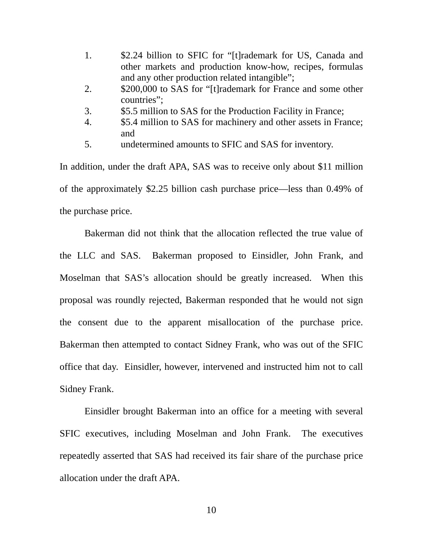- 1. \$2.24 billion to SFIC for "[t]rademark for US, Canada and other markets and production know-how, recipes, formulas and any other production related intangible";
- 2. \$200,000 to SAS for "[t]rademark for France and some other countries";
- 3. \$5.5 million to SAS for the Production Facility in France;
- 4. \$5.4 million to SAS for machinery and other assets in France; and
- 5. undetermined amounts to SFIC and SAS for inventory.

In addition, under the draft APA, SAS was to receive only about \$11 million of the approximately \$2.25 billion cash purchase price—less than 0.49% of the purchase price.

Bakerman did not think that the allocation reflected the true value of the LLC and SAS. Bakerman proposed to Einsidler, John Frank, and Moselman that SAS's allocation should be greatly increased. When this proposal was roundly rejected, Bakerman responded that he would not sign the consent due to the apparent misallocation of the purchase price. Bakerman then attempted to contact Sidney Frank, who was out of the SFIC office that day. Einsidler, however, intervened and instructed him not to call Sidney Frank.

Einsidler brought Bakerman into an office for a meeting with several SFIC executives, including Moselman and John Frank. The executives repeatedly asserted that SAS had received its fair share of the purchase price allocation under the draft APA.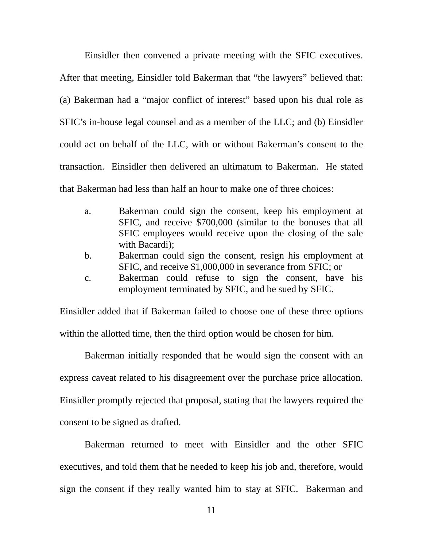Einsidler then convened a private meeting with the SFIC executives. After that meeting, Einsidler told Bakerman that "the lawyers" believed that: (a) Bakerman had a "major conflict of interest" based upon his dual role as SFIC's in-house legal counsel and as a member of the LLC; and (b) Einsidler could act on behalf of the LLC, with or without Bakerman's consent to the transaction. Einsidler then delivered an ultimatum to Bakerman. He stated that Bakerman had less than half an hour to make one of three choices:

- a. Bakerman could sign the consent, keep his employment at SFIC, and receive \$700,000 (similar to the bonuses that all SFIC employees would receive upon the closing of the sale with Bacardi);
- b. Bakerman could sign the consent, resign his employment at SFIC, and receive \$1,000,000 in severance from SFIC; or
- c. Bakerman could refuse to sign the consent, have his employment terminated by SFIC, and be sued by SFIC.

Einsidler added that if Bakerman failed to choose one of these three options within the allotted time, then the third option would be chosen for him.

Bakerman initially responded that he would sign the consent with an express caveat related to his disagreement over the purchase price allocation. Einsidler promptly rejected that proposal, stating that the lawyers required the consent to be signed as drafted.

Bakerman returned to meet with Einsidler and the other SFIC executives, and told them that he needed to keep his job and, therefore, would sign the consent if they really wanted him to stay at SFIC. Bakerman and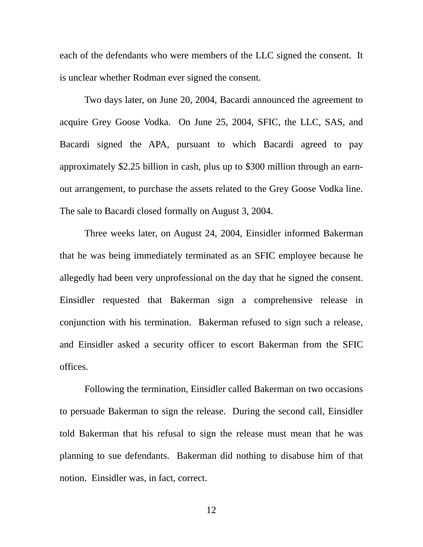each of the defendants who were members of the LLC signed the consent. It is unclear whether Rodman ever signed the consent.

Two days later, on June 20, 2004, Bacardi announced the agreement to acquire Grey Goose Vodka. On June 25, 2004, SFIC, the LLC, SAS, and Bacardi signed the APA, pursuant to which Bacardi agreed to pay approximately \$2.25 billion in cash, plus up to \$300 million through an earnout arrangement, to purchase the assets related to the Grey Goose Vodka line. The sale to Bacardi closed formally on August 3, 2004.

Three weeks later, on August 24, 2004, Einsidler informed Bakerman that he was being immediately terminated as an SFIC employee because he allegedly had been very unprofessional on the day that he signed the consent. Einsidler requested that Bakerman sign a comprehensive release in conjunction with his termination. Bakerman refused to sign such a release, and Einsidler asked a security officer to escort Bakerman from the SFIC offices.

Following the termination, Einsidler called Bakerman on two occasions to persuade Bakerman to sign the release. During the second call, Einsidler told Bakerman that his refusal to sign the release must mean that he was planning to sue defendants. Bakerman did nothing to disabuse him of that notion. Einsidler was, in fact, correct.

12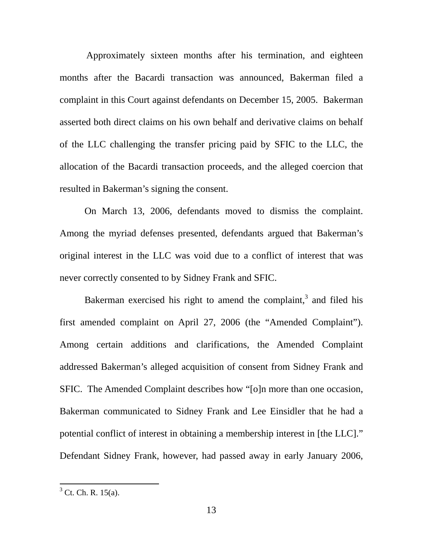Approximately sixteen months after his termination, and eighteen months after the Bacardi transaction was announced, Bakerman filed a complaint in this Court against defendants on December 15, 2005. Bakerman asserted both direct claims on his own behalf and derivative claims on behalf of the LLC challenging the transfer pricing paid by SFIC to the LLC, the allocation of the Bacardi transaction proceeds, and the alleged coercion that resulted in Bakerman's signing the consent.

On March 13, 2006, defendants moved to dismiss the complaint. Among the myriad defenses presented, defendants argued that Bakerman's original interest in the LLC was void due to a conflict of interest that was never correctly consented to by Sidney Frank and SFIC.

Bakerman exercised his right to amend the complaint, $3$  and filed his first amended complaint on April 27, 2006 (the "Amended Complaint"). Among certain additions and clarifications, the Amended Complaint addressed Bakerman's alleged acquisition of consent from Sidney Frank and SFIC. The Amended Complaint describes how "[o]n more than one occasion, Bakerman communicated to Sidney Frank and Lee Einsidler that he had a potential conflict of interest in obtaining a membership interest in [the LLC]." Defendant Sidney Frank, however, had passed away in early January 2006,

<span id="page-13-0"></span> $3$  Ct. Ch. R. 15(a).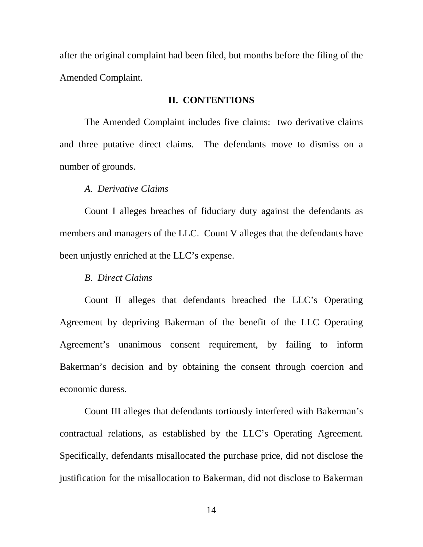after the original complaint had been filed, but months before the filing of the Amended Complaint.

#### **II. CONTENTIONS**

The Amended Complaint includes five claims: two derivative claims and three putative direct claims. The defendants move to dismiss on a number of grounds.

### *A. Derivative Claims*

Count I alleges breaches of fiduciary duty against the defendants as members and managers of the LLC. Count V alleges that the defendants have been unjustly enriched at the LLC's expense.

#### *B. Direct Claims*

Count II alleges that defendants breached the LLC's Operating Agreement by depriving Bakerman of the benefit of the LLC Operating Agreement's unanimous consent requirement, by failing to inform Bakerman's decision and by obtaining the consent through coercion and economic duress.

Count III alleges that defendants tortiously interfered with Bakerman's contractual relations, as established by the LLC's Operating Agreement. Specifically, defendants misallocated the purchase price, did not disclose the justification for the misallocation to Bakerman, did not disclose to Bakerman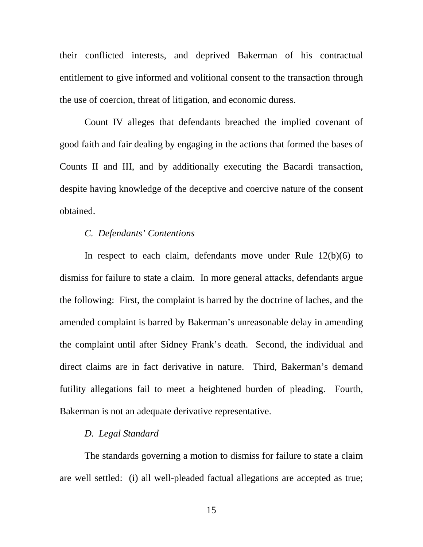their conflicted interests, and deprived Bakerman of his contractual entitlement to give informed and volitional consent to the transaction through the use of coercion, threat of litigation, and economic duress.

Count IV alleges that defendants breached the implied covenant of good faith and fair dealing by engaging in the actions that formed the bases of Counts II and III, and by additionally executing the Bacardi transaction, despite having knowledge of the deceptive and coercive nature of the consent obtained.

## *C. Defendants' Contentions*

In respect to each claim, defendants move under Rule 12(b)(6) to dismiss for failure to state a claim. In more general attacks, defendants argue the following: First, the complaint is barred by the doctrine of laches, and the amended complaint is barred by Bakerman's unreasonable delay in amending the complaint until after Sidney Frank's death. Second, the individual and direct claims are in fact derivative in nature. Third, Bakerman's demand futility allegations fail to meet a heightened burden of pleading. Fourth, Bakerman is not an adequate derivative representative.

## *D. Legal Standard*

The standards governing a motion to dismiss for failure to state a claim are well settled: (i) all well-pleaded factual allegations are accepted as true;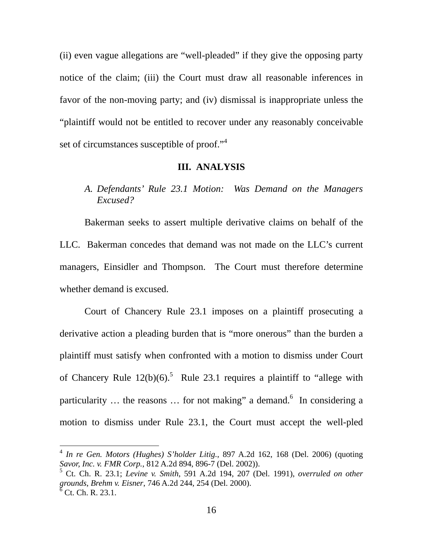(ii) even vague allegations are "well-pleaded" if they give the opposing party notice of the claim; (iii) the Court must draw all reasonable inferences in favor of the non-moving party; and (iv) dismissal is inappropriate unless the "plaintiff would not be entitled to recover under any reasonably conceivable set of circumstances susceptible of proof."<sup>[4](#page-16-0)</sup>

#### **III. ANALYSIS**

# *A. Defendants' Rule 23.1 Motion: Was Demand on the Managers Excused?*

Bakerman seeks to assert multiple derivative claims on behalf of the LLC. Bakerman concedes that demand was not made on the LLC's current managers, Einsidler and Thompson. The Court must therefore determine whether demand is excused.

Court of Chancery Rule 23.1 imposes on a plaintiff prosecuting a derivative action a pleading burden that is "more onerous" than the burden a plaintiff must satisfy when confronted with a motion to dismiss under Court of Chancery Rule  $12(b)(6)$ .<sup>[5](#page-16-1)</sup> Rule 23.1 requires a plaintiff to "allege with particularity ... the reasons ... for not making" a demand.<sup>[6](#page-16-2)</sup> In considering a motion to dismiss under Rule 23.1, the Court must accept the well-pled

<span id="page-16-0"></span><sup>4</sup> *In re Gen. Motors (Hughes) S'holder Litig.*, 897 A.2d 162, 168 (Del. 2006) (quoting *Savor, Inc. v. FMR Corp.*, 812 A.2d 894, 896-7 (Del. 2002)).

<span id="page-16-2"></span><span id="page-16-1"></span><sup>5</sup> Ct. Ch. R. 23.1; *Levine v. Smith*, 591 A.2d 194, 207 (Del. 1991), *overruled on other grounds*, *Brehm v. Eisner*, 746 A.2d 244, 254 (Del. 2000).  $6$  Ct. Ch. R. 23.1.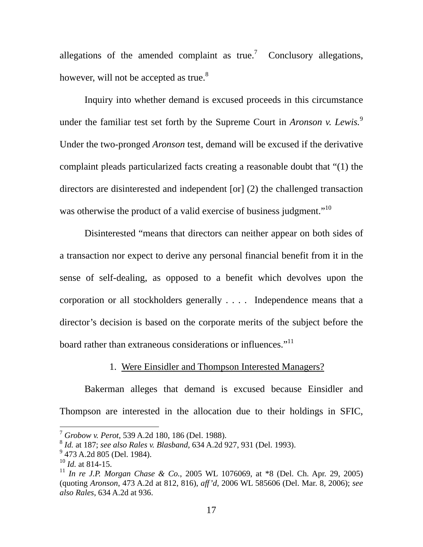allegations of the amended complaint as true.<sup>[7](#page-17-0)</sup> Conclusory allegations, however, will not be accepted as true. $8<sup>8</sup>$  $8<sup>8</sup>$ 

Inquiry into whether demand is excused proceeds in this circumstance under the familiar test set forth by the Supreme Court in *Aronson v. Lewis*.<sup>[9](#page-17-2)</sup> Under the two-pronged *Aronson* test, demand will be excused if the derivative complaint pleads particularized facts creating a reasonable doubt that "(1) the directors are disinterested and independent [or] (2) the challenged transaction was otherwise the product of a valid exercise of business judgment."<sup>10</sup>

Disinterested "means that directors can neither appear on both sides of a transaction nor expect to derive any personal financial benefit from it in the sense of self-dealing, as opposed to a benefit which devolves upon the corporation or all stockholders generally . . . . Independence means that a director's decision is based on the corporate merits of the subject before the board rather than extraneous considerations or influences."<sup>11</sup>

# 1. Were Einsidler and Thompson Interested Managers?

Bakerman alleges that demand is excused because Einsidler and Thompson are interested in the allocation due to their holdings in SFIC,

<span id="page-17-0"></span><sup>7</sup> *Grobow v. Perot*, 539 A.2d 180, 186 (Del. 1988).

<span id="page-17-1"></span><sup>8</sup> *Id.* at 187; *see also Rales v. Blasband*, 634 A.2d 927, 931 (Del. 1993).

<span id="page-17-2"></span><sup>&</sup>lt;sup>9</sup> 473 A.2d 805 (Del. 1984).

<span id="page-17-3"></span><sup>10</sup> *Id.* at 814-15.

<span id="page-17-4"></span><sup>11</sup> *In re J.P. Morgan Chase & Co.*, 2005 WL 1076069, at \*8 (Del. Ch. Apr. 29, 2005) (quoting *Aronson*, 473 A.2d at 812, 816), *aff'd*, 2006 WL 585606 (Del. Mar. 8, 2006); *see also Rales*, 634 A.2d at 936.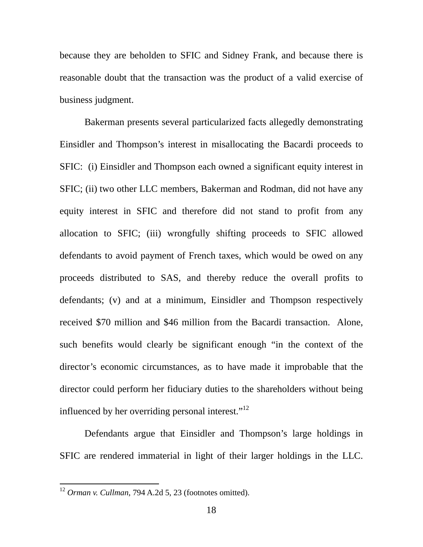because they are beholden to SFIC and Sidney Frank, and because there is reasonable doubt that the transaction was the product of a valid exercise of business judgment.

Bakerman presents several particularized facts allegedly demonstrating Einsidler and Thompson's interest in misallocating the Bacardi proceeds to SFIC: (i) Einsidler and Thompson each owned a significant equity interest in SFIC; (ii) two other LLC members, Bakerman and Rodman, did not have any equity interest in SFIC and therefore did not stand to profit from any allocation to SFIC; (iii) wrongfully shifting proceeds to SFIC allowed defendants to avoid payment of French taxes, which would be owed on any proceeds distributed to SAS, and thereby reduce the overall profits to defendants; (v) and at a minimum, Einsidler and Thompson respectively received \$70 million and \$46 million from the Bacardi transaction. Alone, such benefits would clearly be significant enough "in the context of the director's economic circumstances, as to have made it improbable that the director could perform her fiduciary duties to the shareholders without being influenced by her overriding personal interest. $1^{12}$ 

Defendants argue that Einsidler and Thompson's large holdings in SFIC are rendered immaterial in light of their larger holdings in the LLC.

<span id="page-18-0"></span><sup>12</sup> *Orman v. Cullman*, 794 A.2d 5, 23 (footnotes omitted).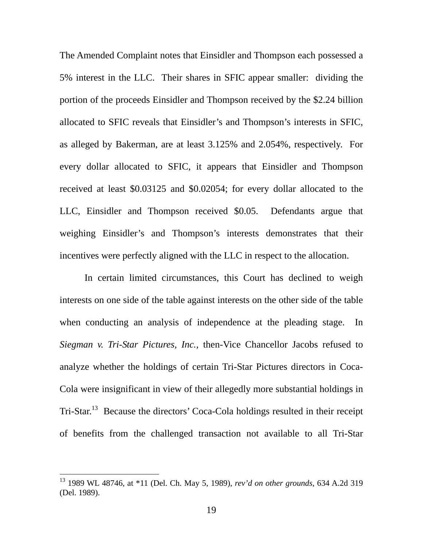The Amended Complaint notes that Einsidler and Thompson each possessed a 5% interest in the LLC. Their shares in SFIC appear smaller: dividing the portion of the proceeds Einsidler and Thompson received by the \$2.24 billion allocated to SFIC reveals that Einsidler's and Thompson's interests in SFIC, as alleged by Bakerman, are at least 3.125% and 2.054%, respectively. For every dollar allocated to SFIC, it appears that Einsidler and Thompson received at least \$0.03125 and \$0.02054; for every dollar allocated to the LLC, Einsidler and Thompson received \$0.05. Defendants argue that weighing Einsidler's and Thompson's interests demonstrates that their incentives were perfectly aligned with the LLC in respect to the allocation.

In certain limited circumstances, this Court has declined to weigh interests on one side of the table against interests on the other side of the table when conducting an analysis of independence at the pleading stage. In *Siegman v. Tri-Star Pictures, Inc.*, then-Vice Chancellor Jacobs refused to analyze whether the holdings of certain Tri-Star Pictures directors in Coca-Cola were insignificant in view of their allegedly more substantial holdings in Tri-Star.<sup>13</sup> Because the directors' Coca-Cola holdings resulted in their receipt of benefits from the challenged transaction not available to all Tri-Star

<span id="page-19-0"></span><sup>13 1989</sup> WL 48746, at \*11 (Del. Ch. May 5, 1989), *rev'd on other grounds*, 634 A.2d 319 (Del. 1989).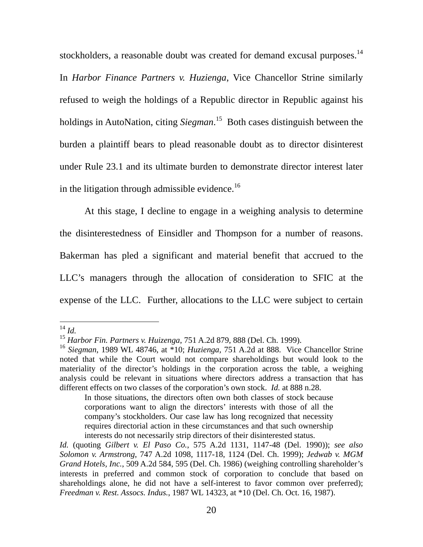stockholders, a reasonable doubt was created for demand excusal purposes.<sup>14</sup>

In *Harbor Finance Partners v. Huzienga*, Vice Chancellor Strine similarly refused to weigh the holdings of a Republic director in Republic against his holdings in AutoNation, citing *Siegman*. [15](#page-20-1) Both cases distinguish between the burden a plaintiff bears to plead reasonable doubt as to director disinterest under Rule 23.1 and its ultimate burden to demonstrate director interest later in the litigation through admissible evidence.<sup>16</sup>

At this stage, I decline to engage in a weighing analysis to determine the disinterestedness of Einsidler and Thompson for a number of reasons. Bakerman has pled a significant and material benefit that accrued to the LLC's managers through the allocation of consideration to SFIC at the expense of the LLC. Further, allocations to the LLC were subject to certain

 $\overline{a}$ 

In those situations, the directors often own both classes of stock because corporations want to align the directors' interests with those of all the company's stockholders. Our case law has long recognized that necessity requires directorial action in these circumstances and that such ownership interests do not necessarily strip directors of their disinterested status.

<span id="page-20-0"></span><sup>14</sup> *Id.*

<span id="page-20-1"></span><sup>15</sup> *Harbor Fin. Partners v. Huizenga*, 751 A.2d 879, 888 (Del. Ch. 1999).

<span id="page-20-2"></span><sup>16</sup> *Siegman*, 1989 WL 48746, at \*10; *Huzienga,* 751 A.2d at 888. Vice Chancellor Strine noted that while the Court would not compare shareholdings but would look to the materiality of the director's holdings in the corporation across the table, a weighing analysis could be relevant in situations where directors address a transaction that has different effects on two classes of the corporation's own stock. *Id.* at 888 n.28.

*Id.* (quoting *Gilbert v. El Paso Co.*, 575 A.2d 1131, 1147-48 (Del. 1990)); *see also Solomon v. Armstrong*, 747 A.2d 1098, 1117-18, 1124 (Del. Ch. 1999); *Jedwab v. MGM Grand Hotels, Inc.*, 509 A.2d 584, 595 (Del. Ch. 1986) (weighing controlling shareholder's interests in preferred and common stock of corporation to conclude that based on shareholdings alone, he did not have a self-interest to favor common over preferred); *Freedman v. Rest. Assocs. Indus.*, 1987 WL 14323, at \*10 (Del. Ch. Oct. 16, 1987).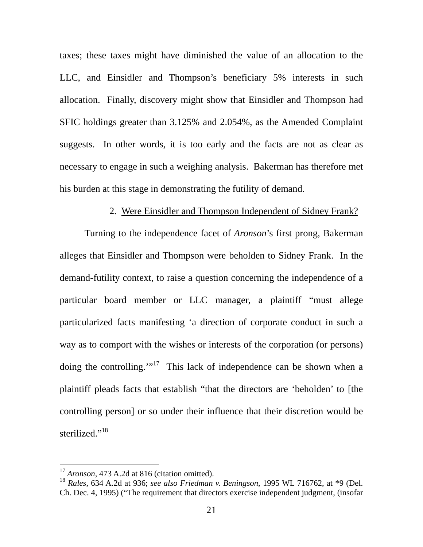<span id="page-21-1"></span>taxes; these taxes might have diminished the value of an allocation to the LLC, and Einsidler and Thompson's beneficiary 5% interests in such allocation. Finally, discovery might show that Einsidler and Thompson had SFIC holdings greater than 3.125% and 2.054%, as the Amended Complaint suggests. In other words, it is too early and the facts are not as clear as necessary to engage in such a weighing analysis. Bakerman has therefore met his burden at this stage in demonstrating the futility of demand.

# 2. Were Einsidler and Thompson Independent of Sidney Frank?

Turning to the independence facet of *Aronson*'s first prong, Bakerman alleges that Einsidler and Thompson were beholden to Sidney Frank. In the demand-futility context, to raise a question concerning the independence of a particular board member or LLC manager, a plaintiff "must allege particularized facts manifesting 'a direction of corporate conduct in such a way as to comport with the wishes or interests of the corporation (or persons) doing the controlling."<sup>17</sup> This lack of independence can be shown when a plaintiff pleads facts that establish "that the directors are 'beholden' to [the controlling person] or so under their influence that their discretion would be sterilized."<sup>[18](#page-21-1)</sup>

<span id="page-21-0"></span><sup>&</sup>lt;sup>17</sup> *Aronson*, 473 A.2d at 816 (citation omitted).

<sup>18</sup> *Rales*, 634 A.2d at 936; *see also Friedman v. Beningson*, 1995 WL 716762, at \*9 (Del. Ch. Dec. 4, 1995) ("The requirement that directors exercise independent judgment, (insofar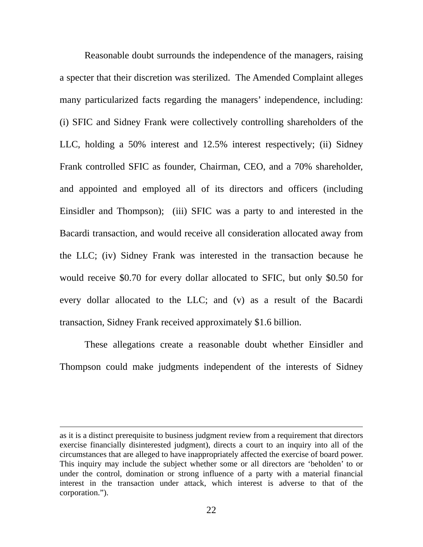Reasonable doubt surrounds the independence of the managers, raising a specter that their discretion was sterilized. The Amended Complaint alleges many particularized facts regarding the managers' independence, including: (i) SFIC and Sidney Frank were collectively controlling shareholders of the LLC, holding a 50% interest and 12.5% interest respectively; (ii) Sidney Frank controlled SFIC as founder, Chairman, CEO, and a 70% shareholder, and appointed and employed all of its directors and officers (including Einsidler and Thompson); (iii) SFIC was a party to and interested in the Bacardi transaction, and would receive all consideration allocated away from the LLC; (iv) Sidney Frank was interested in the transaction because he would receive \$0.70 for every dollar allocated to SFIC, but only \$0.50 for every dollar allocated to the LLC; and (v) as a result of the Bacardi transaction, Sidney Frank received approximately \$1.6 billion.

These allegations create a reasonable doubt whether Einsidler and Thompson could make judgments independent of the interests of Sidney

as it is a distinct prerequisite to business judgment review from a requirement that directors exercise financially disinterested judgment), directs a court to an inquiry into all of the circumstances that are alleged to have inappropriately affected the exercise of board power. This inquiry may include the subject whether some or all directors are 'beholden' to or under the control, domination or strong influence of a party with a material financial interest in the transaction under attack, which interest is adverse to that of the corporation.").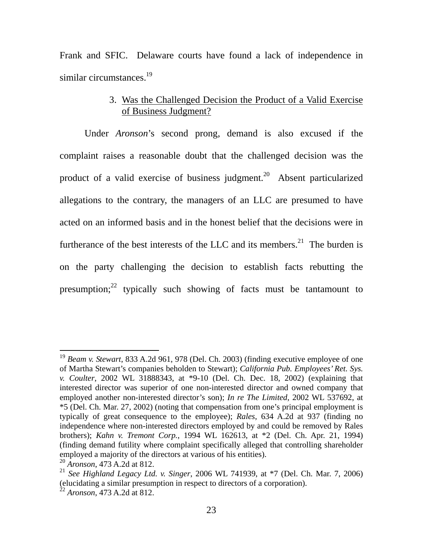Frank and SFIC. Delaware courts have found a lack of independence in similar circumstances. $19$ 

# 3. Was the Challenged Decision the Product of a Valid Exercise of Business Judgment?

Under *Aronson*'s second prong, demand is also excused if the complaint raises a reasonable doubt that the challenged decision was the product of a valid exercise of business judgment.<sup>20</sup> Absent particularized allegations to the contrary, the managers of an LLC are presumed to have acted on an informed basis and in the honest belief that the decisions were in furtherance of the best interests of the LLC and its members.<sup>21</sup> The burden is on the party challenging the decision to establish facts rebutting the presumption; $^{22}$  typically such showing of facts must be tantamount to

<span id="page-23-0"></span><sup>19</sup> *Beam v. Stewart*, 833 A.2d 961, 978 (Del. Ch. 2003) (finding executive employee of one of Martha Stewart's companies beholden to Stewart); *California Pub. Employees' Ret. Sys. v. Coulter*, 2002 WL 31888343, at \*9-10 (Del. Ch. Dec. 18, 2002) (explaining that interested director was superior of one non-interested director and owned company that employed another non-interested director's son); *In re The Limited*, 2002 WL 537692, at \*5 (Del. Ch. Mar. 27, 2002) (noting that compensation from one's principal employment is typically of great consequence to the employee); *Rales*, 634 A.2d at 937 (finding no independence where non-interested directors employed by and could be removed by Rales brothers); *Kahn v. Tremont Corp.*, 1994 WL 162613, at \*2 (Del. Ch. Apr. 21, 1994) (finding demand futility where complaint specifically alleged that controlling shareholder employed a majority of the directors at various of his entities).

<span id="page-23-1"></span><sup>20</sup> *Aronson*, 473 A.2d at 812.

<span id="page-23-2"></span><sup>21</sup> *See Highland Legacy Ltd. v. Singer*, 2006 WL 741939, at \*7 (Del. Ch. Mar. 7, 2006) (elucidating a similar presumption in respect to directors of a corporation). 22 *Aronson*, 473 A.2d at 812.

<span id="page-23-3"></span>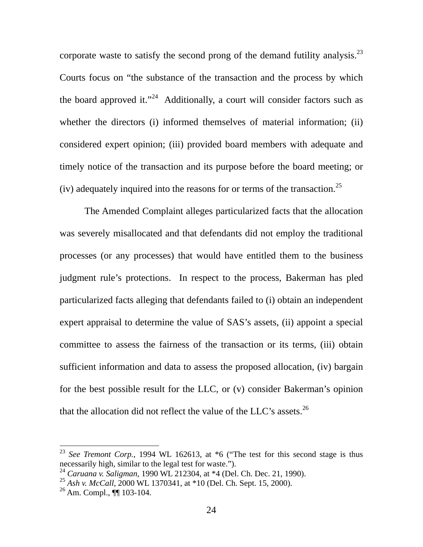corporate waste to satisfy the second prong of the demand futility analysis.<sup>23</sup> Courts focus on "the substance of the transaction and the process by which the board approved it."<sup>24</sup> Additionally, a court will consider factors such as whether the directors (i) informed themselves of material information; (ii) considered expert opinion; (iii) provided board members with adequate and timely notice of the transaction and its purpose before the board meeting; or (iv) adequately inquired into the reasons for or terms of the transaction.<sup>[25](#page-24-2)</sup>

The Amended Complaint alleges particularized facts that the allocation was severely misallocated and that defendants did not employ the traditional processes (or any processes) that would have entitled them to the business judgment rule's protections. In respect to the process, Bakerman has pled particularized facts alleging that defendants failed to (i) obtain an independent expert appraisal to determine the value of SAS's assets, (ii) appoint a special committee to assess the fairness of the transaction or its terms, (iii) obtain sufficient information and data to assess the proposed allocation, (iv) bargain for the best possible result for the LLC, or (v) consider Bakerman's opinion that the allocation did not reflect the value of the LLC's assets.<sup>26</sup>

<span id="page-24-0"></span><sup>&</sup>lt;sup>23</sup> *See Tremont Corp.*, 1994 WL 162613, at \*6 ("The test for this second stage is thus necessarily high, similar to the legal test for waste.").

<span id="page-24-1"></span><sup>24</sup> *Caruana v. Saligman*, 1990 WL 212304, at \*4 (Del. Ch. Dec. 21, 1990).

<span id="page-24-2"></span><sup>25</sup> *Ash v. McCall*, 2000 WL 1370341, at \*10 (Del. Ch. Sept. 15, 2000).

<span id="page-24-3"></span><sup>26</sup> Am. Compl., ¶¶ 103-104.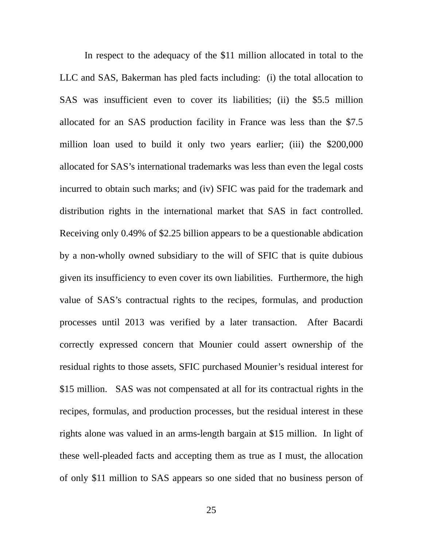In respect to the adequacy of the \$11 million allocated in total to the LLC and SAS, Bakerman has pled facts including: (i) the total allocation to SAS was insufficient even to cover its liabilities; (ii) the \$5.5 million allocated for an SAS production facility in France was less than the \$7.5 million loan used to build it only two years earlier; (iii) the \$200,000 allocated for SAS's international trademarks was less than even the legal costs incurred to obtain such marks; and (iv) SFIC was paid for the trademark and distribution rights in the international market that SAS in fact controlled. Receiving only 0.49% of \$2.25 billion appears to be a questionable abdication by a non-wholly owned subsidiary to the will of SFIC that is quite dubious given its insufficiency to even cover its own liabilities. Furthermore, the high value of SAS's contractual rights to the recipes, formulas, and production processes until 2013 was verified by a later transaction. After Bacardi correctly expressed concern that Mounier could assert ownership of the residual rights to those assets, SFIC purchased Mounier's residual interest for \$15 million. SAS was not compensated at all for its contractual rights in the recipes, formulas, and production processes, but the residual interest in these rights alone was valued in an arms-length bargain at \$15 million. In light of these well-pleaded facts and accepting them as true as I must, the allocation of only \$11 million to SAS appears so one sided that no business person of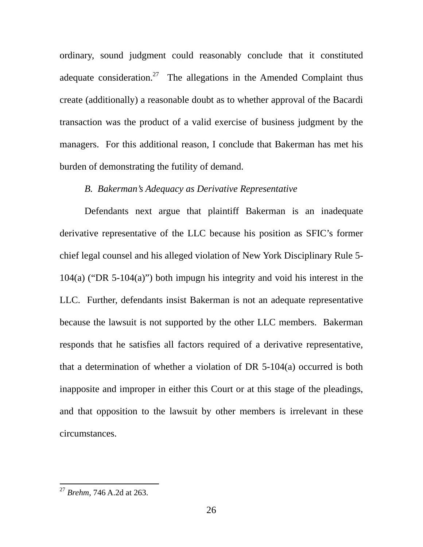ordinary, sound judgment could reasonably conclude that it constituted adequate consideration.<sup>27</sup> The allegations in the Amended Complaint thus create (additionally) a reasonable doubt as to whether approval of the Bacardi transaction was the product of a valid exercise of business judgment by the managers. For this additional reason, I conclude that Bakerman has met his burden of demonstrating the futility of demand.

#### *B. Bakerman's Adequacy as Derivative Representative*

Defendants next argue that plaintiff Bakerman is an inadequate derivative representative of the LLC because his position as SFIC's former chief legal counsel and his alleged violation of New York Disciplinary Rule 5- 104(a) ("DR 5-104(a)") both impugn his integrity and void his interest in the LLC. Further, defendants insist Bakerman is not an adequate representative because the lawsuit is not supported by the other LLC members. Bakerman responds that he satisfies all factors required of a derivative representative, that a determination of whether a violation of DR 5-104(a) occurred is both inapposite and improper in either this Court or at this stage of the pleadings, and that opposition to the lawsuit by other members is irrelevant in these circumstances.

<span id="page-26-0"></span><sup>27</sup> *Brehm*, 746 A.2d at 263.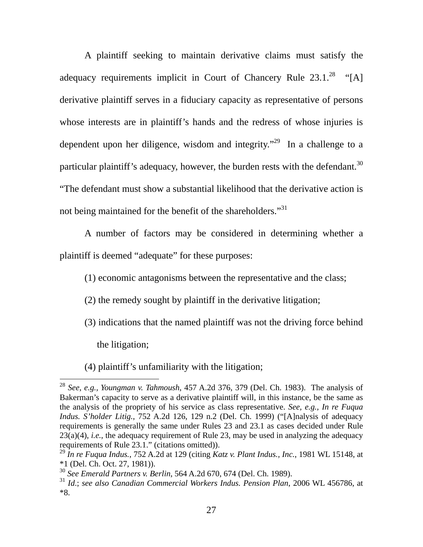A plaintiff seeking to maintain derivative claims must satisfy the adequacy requirements implicit in Court of Chancery Rule  $23.1.^{28}$  "[A] derivative plaintiff serves in a fiduciary capacity as representative of persons whose interests are in plaintiff's hands and the redress of whose injuries is dependent upon her diligence, wisdom and integrity."<sup>29</sup> In a challenge to a particular plaintiff's adequacy, however, the burden rests with the defendant.<sup>30</sup> "The defendant must show a substantial likelihood that the derivative action is not being maintained for the benefit of the shareholders."<sup>[31](#page-27-3)</sup>

A number of factors may be considered in determining whether a plaintiff is deemed "adequate" for these purposes:

(1) economic antagonisms between the representative and the class;

(2) the remedy sought by plaintiff in the derivative litigation;

(3) indications that the named plaintiff was not the driving force behind

the litigation;

(4) plaintiff's unfamiliarity with the litigation;

<span id="page-27-0"></span> $\overline{a}$ <sup>28</sup> *See, e.g., Youngman v. Tahmoush*, 457 A.2d 376, 379 (Del. Ch. 1983). The analysis of Bakerman's capacity to serve as a derivative plaintiff will, in this instance, be the same as the analysis of the propriety of his service as class representative. *See, e.g., In re Fuqua Indus. S'holder Litig.*, 752 A.2d 126, 129 n.2 (Del. Ch. 1999) ("[A]nalysis of adequacy requirements is generally the same under Rules 23 and 23.1 as cases decided under Rule 23(a)(4), *i.e.*, the adequacy requirement of Rule 23, may be used in analyzing the adequacy requirements of Rule 23.1." (citations omitted)).

<span id="page-27-1"></span><sup>29</sup> *In re Fuqua Indus.*, 752 A.2d at 129 (citing *Katz v. Plant Indus., Inc.*, 1981 WL 15148, at \*1 (Del. Ch. Oct. 27, 1981)).

<span id="page-27-2"></span><sup>30</sup> *See Emerald Partners v. Berlin*, 564 A.2d 670, 674 (Del. Ch. 1989).

<span id="page-27-3"></span><sup>31</sup> *Id*.; *see also Canadian Commercial Workers Indus. Pension Plan*, 2006 WL 456786, at \*8.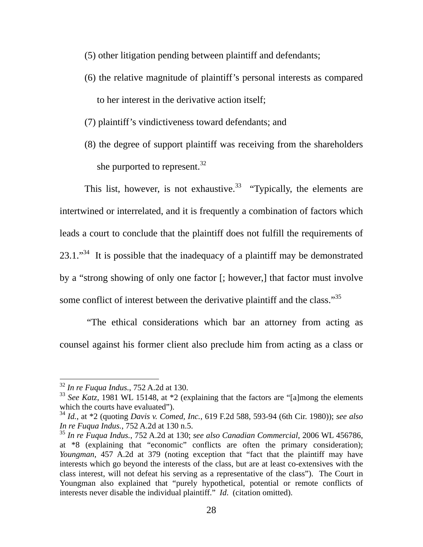- (5) other litigation pending between plaintiff and defendants;
- (6) the relative magnitude of plaintiff's personal interests as compared to her interest in the derivative action itself;
- (7) plaintiff's vindictiveness toward defendants; and
- (8) the degree of support plaintiff was receiving from the shareholders she purported to represent.<sup>[32](#page-28-0)</sup>

This list, however, is not exhaustive.<sup>33</sup> "Typically, the elements are intertwined or interrelated, and it is frequently a combination of factors which leads a court to conclude that the plaintiff does not fulfill the requirements of  $23.1.^{34}$  It is possible that the inadequacy of a plaintiff may be demonstrated by a "strong showing of only one factor [; however,] that factor must involve some conflict of interest between the derivative plaintiff and the class."<sup>[35](#page-28-3)</sup>

"The ethical considerations which bar an attorney from acting as counsel against his former client also preclude him from acting as a class or

<span id="page-28-0"></span><sup>32</sup> *In re Fuqua Indus.*, 752 A.2d at 130.

<span id="page-28-1"></span><sup>&</sup>lt;sup>33</sup> *See Katz*, 1981 WL 15148, at \*2 (explaining that the factors are "[a]mong the elements which the courts have evaluated").

<span id="page-28-2"></span><sup>34</sup> *Id.*, at \*2 (quoting *Davis v. Comed, Inc.*, 619 F.2d 588, 593-94 (6th Cir. 1980)); *see also In re Fuqua Indus.*, 752 A.2d at 130 n.5.

<span id="page-28-3"></span><sup>35</sup> *In re Fuqua Indus.*, 752 A.2d at 130; *see also Canadian Commercial*, 2006 WL 456786, at \*8 (explaining that "economic" conflicts are often the primary consideration); *Youngman*, 457 A.2d at 379 (noting exception that "fact that the plaintiff may have interests which go beyond the interests of the class, but are at least co-extensives with the class interest, will not defeat his serving as a representative of the class"). The Court in Youngman also explained that "purely hypothetical, potential or remote conflicts of interests never disable the individual plaintiff." *Id*. (citation omitted).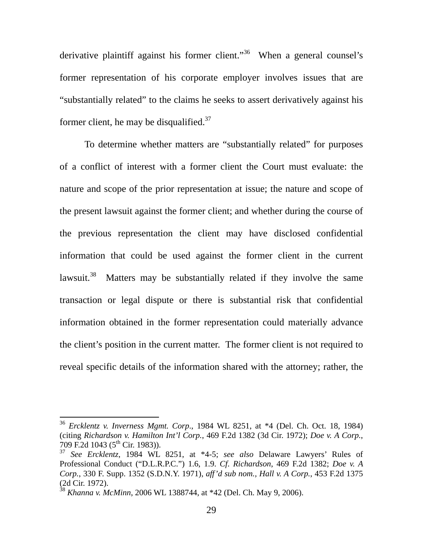derivative plaintiff against his former client."<sup>36</sup> When a general counsel's former representation of his corporate employer involves issues that are "substantially related" to the claims he seeks to assert derivatively against his former client, he may be disqualified. $37$ 

To determine whether matters are "substantially related" for purposes of a conflict of interest with a former client the Court must evaluate: the nature and scope of the prior representation at issue; the nature and scope of the present lawsuit against the former client; and whether during the course of the previous representation the client may have disclosed confidential information that could be used against the former client in the current lawsuit.<sup>38</sup> Matters may be substantially related if they involve the same transaction or legal dispute or there is substantial risk that confidential information obtained in the former representation could materially advance the client's position in the current matter. The former client is not required to reveal specific details of the information shared with the attorney; rather, the

<span id="page-29-0"></span><sup>36</sup> *Ercklentz v. Inverness Mgmt. Corp*., 1984 WL 8251, at \*4 (Del. Ch. Oct. 18, 1984) (citing *Richardson v. Hamilton Int'l Corp.*, 469 F.2d 1382 (3d Cir. 1972); *Doe v. A Corp.*, 709 F.2d 1043 ( $5^{\text{th}}$  Cir. 1983)).

<span id="page-29-1"></span><sup>37</sup> *See Ercklentz*, 1984 WL 8251, at \*4-5; *see also* Delaware Lawyers' Rules of Professional Conduct ("D.L.R.P.C.") 1.6, 1.9. *Cf*. *Richardson*, 469 F.2d 1382; *Doe v. A Corp.*, 330 F. Supp. 1352 (S.D.N.Y. 1971), *aff'd sub nom., Hall v. A Corp.*, 453 F.2d 1375 (2d Cir. 1972).

<span id="page-29-2"></span><sup>38</sup> *Khanna v. McMinn*, 2006 WL 1388744, at \*42 (Del. Ch. May 9, 2006).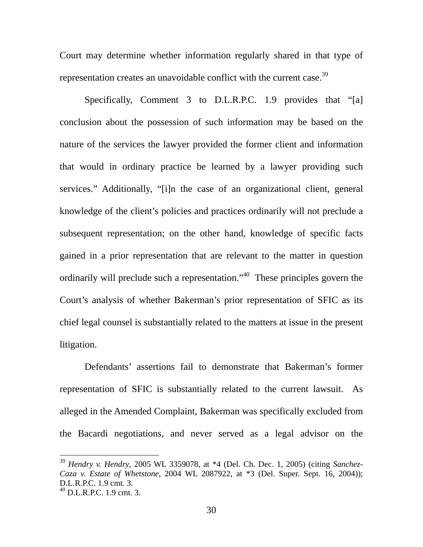Court may determine whether information regularly shared in that type of representation creates an unavoidable conflict with the current case.<sup>[39](#page-30-0)</sup>

Specifically, Comment 3 to D.L.R.P.C. 1.9 provides that "[a] conclusion about the possession of such information may be based on the nature of the services the lawyer provided the former client and information that would in ordinary practice be learned by a lawyer providing such services." Additionally, "[i]n the case of an organizational client, general knowledge of the client's policies and practices ordinarily will not preclude a subsequent representation; on the other hand, knowledge of specific facts gained in a prior representation that are relevant to the matter in question ordinarily will preclude such a representation."[40](#page-30-1) These principles govern the Court's analysis of whether Bakerman's prior representation of SFIC as its chief legal counsel is substantially related to the matters at issue in the present litigation.

Defendants' assertions fail to demonstrate that Bakerman's former representation of SFIC is substantially related to the current lawsuit. As alleged in the Amended Complaint, Bakerman was specifically excluded from the Bacardi negotiations, and never served as a legal advisor on the

<span id="page-30-0"></span><sup>39</sup> *Hendry v. Hendry*, 2005 WL 3359078, at \*4 (Del. Ch. Dec. 1, 2005) (citing *Sanchez-Caza v. Estate of Whetstone*, 2004 WL 2087922, at \*3 (Del. Super. Sept. 16, 2004)); D.L.R.P.C. 1.9 cmt. 3.

<span id="page-30-1"></span> $^{40}$  D.L.R.P.C. 1.9 cmt. 3.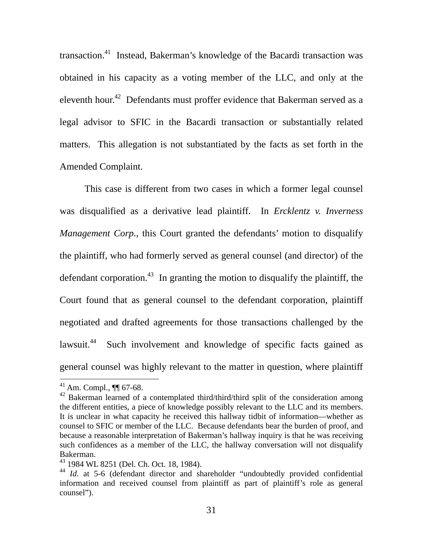transaction.[41](#page-31-0) Instead, Bakerman's knowledge of the Bacardi transaction was obtained in his capacity as a voting member of the LLC, and only at the eleventh hour.<sup>42</sup> Defendants must proffer evidence that Bakerman served as a legal advisor to SFIC in the Bacardi transaction or substantially related matters. This allegation is not substantiated by the facts as set forth in the Amended Complaint.

This case is different from two cases in which a former legal counsel was disqualified as a derivative lead plaintiff. In *Ercklentz v. Inverness Management Corp*., this Court granted the defendants' motion to disqualify the plaintiff, who had formerly served as general counsel (and director) of the defendant corporation.<sup>43</sup> In granting the motion to disqualify the plaintiff, the Court found that as general counsel to the defendant corporation, plaintiff negotiated and drafted agreements for those transactions challenged by the lawsuit.<sup>44</sup> Such involvement and knowledge of specific facts gained as general counsel was highly relevant to the matter in question, where plaintiff

<span id="page-31-0"></span> $^{41}$  Am. Compl.,  $\P\P$  67-68.

<span id="page-31-1"></span><sup>&</sup>lt;sup>42</sup> Bakerman learned of a contemplated third/third/third split of the consideration among the different entities, a piece of knowledge possibly relevant to the LLC and its members. It is unclear in what capacity he received this hallway tidbit of information—whether as counsel to SFIC or member of the LLC. Because defendants bear the burden of proof, and because a reasonable interpretation of Bakerman's hallway inquiry is that he was receiving such confidences as a member of the LLC, the hallway conversation will not disqualify Bakerman.

<span id="page-31-2"></span><sup>43 1984</sup> WL 8251 (Del. Ch. Oct. 18, 1984).

<span id="page-31-3"></span><sup>44</sup> *Id*. at 5-6 (defendant director and shareholder "undoubtedly provided confidential information and received counsel from plaintiff as part of plaintiff's role as general counsel").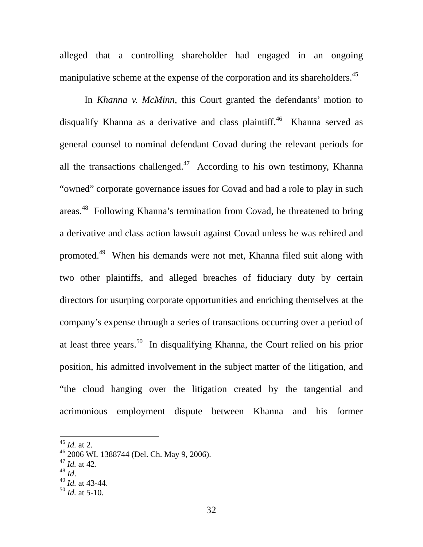alleged that a controlling shareholder had engaged in an ongoing manipulative scheme at the expense of the corporation and its shareholders.<sup>45</sup>

In *Khanna v. McMinn*, this Court granted the defendants' motion to disqualify Khanna as a derivative and class plaintiff.<sup>46</sup> Khanna served as general counsel to nominal defendant Covad during the relevant periods for all the transactions challenged.<sup>47</sup> According to his own testimony, Khanna "owned" corporate governance issues for Covad and had a role to play in such areas.<sup>48</sup> Following Khanna's termination from Covad, he threatened to bring a derivative and class action lawsuit against Covad unless he was rehired and promoted.[49](#page-32-4) When his demands were not met, Khanna filed suit along with two other plaintiffs, and alleged breaches of fiduciary duty by certain directors for usurping corporate opportunities and enriching themselves at the company's expense through a series of transactions occurring over a period of at least three years.[50](#page-32-5) In disqualifying Khanna, the Court relied on his prior position, his admitted involvement in the subject matter of the litigation, and "the cloud hanging over the litigation created by the tangential and acrimonious employment dispute between Khanna and his former

- <span id="page-32-2"></span> $^{47}$  *Id.* at 42.<br><sup>48</sup> *Id.*
- <span id="page-32-3"></span>

 $\overline{a}$ 

<span id="page-32-4"></span><sup>48</sup> *Id*. 49 *Id.* at 43-44.

<span id="page-32-0"></span><sup>45</sup> *Id.* at 2.

<span id="page-32-1"></span><sup>46 2006</sup> WL 1388744 (Del. Ch. May 9, 2006).

<span id="page-32-5"></span> $50$  *Id.* at 5-10.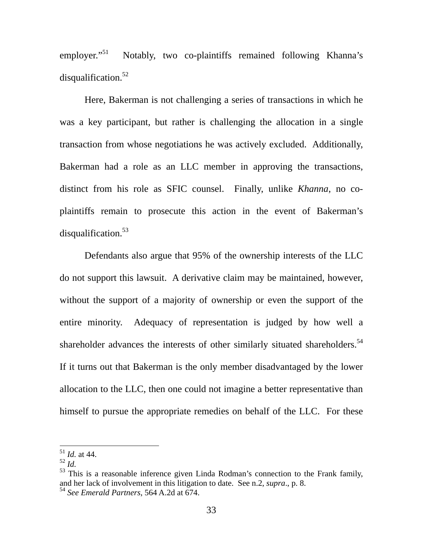employer." $51$ Notably, two co-plaintiffs remained following Khanna's disqualification. $52$ 

Here, Bakerman is not challenging a series of transactions in which he was a key participant, but rather is challenging the allocation in a single transaction from whose negotiations he was actively excluded. Additionally, Bakerman had a role as an LLC member in approving the transactions, distinct from his role as SFIC counsel. Finally, unlike *Khanna*, no coplaintiffs remain to prosecute this action in the event of Bakerman's disqualification.<sup>53</sup>

Defendants also argue that 95% of the ownership interests of the LLC do not support this lawsuit. A derivative claim may be maintained, however, without the support of a majority of ownership or even the support of the entire minority. Adequacy of representation is judged by how well a shareholder advances the interests of other similarly situated shareholders.<sup>54</sup> If it turns out that Bakerman is the only member disadvantaged by the lower allocation to the LLC, then one could not imagine a better representative than himself to pursue the appropriate remedies on behalf of the LLC. For these

<span id="page-33-0"></span><sup>51</sup> *Id.* at 44.

<span id="page-33-1"></span><sup>52</sup> *Id.*

<span id="page-33-2"></span> $53$  This is a reasonable inference given Linda Rodman's connection to the Frank family, and her lack of involvement in this litigation to date. See n.2, *supra*., p. 8.

<span id="page-33-3"></span><sup>54</sup> *See Emerald Partners*, 564 A.2d at 674.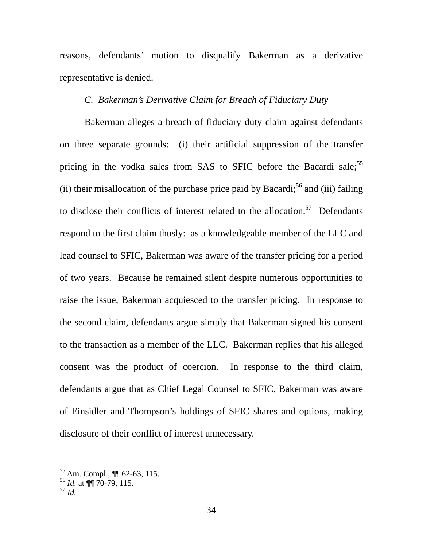reasons, defendants' motion to disqualify Bakerman as a derivative representative is denied.

## *C. Bakerman's Derivative Claim for Breach of Fiduciary Duty*

Bakerman alleges a breach of fiduciary duty claim against defendants on three separate grounds: (i) their artificial suppression of the transfer pricing in the vodka sales from SAS to SFIC before the Bacardi sale;<sup>[55](#page-34-0)</sup> (ii) their misallocation of the purchase price paid by Bacardi;<sup>56</sup> and (iii) failing to disclose their conflicts of interest related to the allocation.<sup>57</sup> Defendants respond to the first claim thusly: as a knowledgeable member of the LLC and lead counsel to SFIC, Bakerman was aware of the transfer pricing for a period of two years. Because he remained silent despite numerous opportunities to raise the issue, Bakerman acquiesced to the transfer pricing. In response to the second claim, defendants argue simply that Bakerman signed his consent to the transaction as a member of the LLC. Bakerman replies that his alleged consent was the product of coercion. In response to the third claim, defendants argue that as Chief Legal Counsel to SFIC, Bakerman was aware of Einsidler and Thompson's holdings of SFIC shares and options, making disclosure of their conflict of interest unnecessary.

<span id="page-34-0"></span><sup>55</sup> Am. Compl., ¶¶ 62-63, 115.

<span id="page-34-1"></span><sup>56</sup> *Id.* at ¶¶ 70-79, 115.

<span id="page-34-2"></span> $^{57}$  *Id.*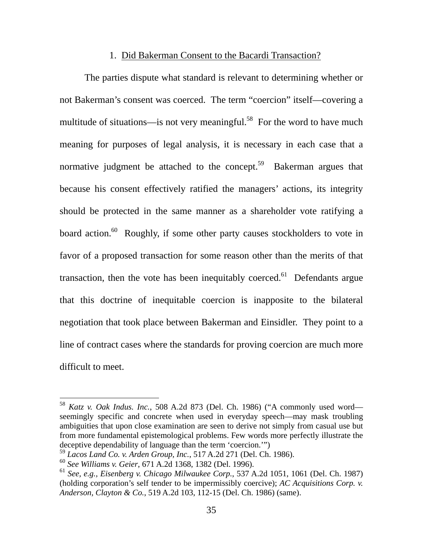### 1. Did Bakerman Consent to the Bacardi Transaction?

The parties dispute what standard is relevant to determining whether or not Bakerman's consent was coerced. The term "coercion" itself—covering a multitude of situations—is not very meaningful.<sup>58</sup> For the word to have much meaning for purposes of legal analysis, it is necessary in each case that a normative judgment be attached to the concept.<sup>59</sup> Bakerman argues that because his consent effectively ratified the managers' actions, its integrity should be protected in the same manner as a shareholder vote ratifying a board action.<sup>60</sup> Roughly, if some other party causes stockholders to vote in favor of a proposed transaction for some reason other than the merits of that transaction, then the vote has been inequitably coerced.<sup>61</sup> Defendants argue that this doctrine of inequitable coercion is inapposite to the bilateral negotiation that took place between Bakerman and Einsidler. They point to a line of contract cases where the standards for proving coercion are much more difficult to meet.

<span id="page-35-0"></span><sup>58</sup> *Katz v. Oak Indus. Inc.*, 508 A.2d 873 (Del. Ch. 1986) ("A commonly used word seemingly specific and concrete when used in everyday speech—may mask troubling ambiguities that upon close examination are seen to derive not simply from casual use but from more fundamental epistemological problems. Few words more perfectly illustrate the deceptive dependability of language than the term 'coercion.'")

<span id="page-35-1"></span><sup>59</sup> *Lacos Land Co. v. Arden Group, Inc.*, 517 A.2d 271 (Del. Ch. 1986).

<span id="page-35-2"></span><sup>60</sup> *See Williams v. Geier*, 671 A.2d 1368, 1382 (Del. 1996).

<span id="page-35-3"></span><sup>61</sup> *See, e.g., Eisenberg v. Chicago Milwaukee Corp.*, 537 A.2d 1051, 1061 (Del. Ch. 1987) (holding corporation's self tender to be impermissibly coercive); *AC Acquisitions Corp. v. Anderson, Clayton & Co.*, 519 A.2d 103, 112-15 (Del. Ch. 1986) (same).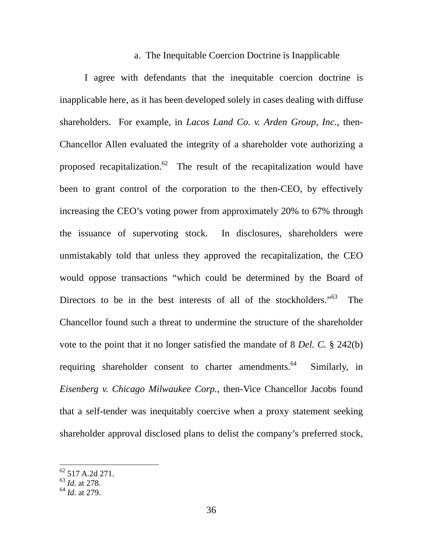#### a. The Inequitable Coercion Doctrine is Inapplicable

I agree with defendants that the inequitable coercion doctrine is inapplicable here, as it has been developed solely in cases dealing with diffuse shareholders. For example, in *Lacos Land Co. v. Arden Group, Inc.*, then-Chancellor Allen evaluated the integrity of a shareholder vote authorizing a proposed recapitalization.<sup>62</sup> The result of the recapitalization would have been to grant control of the corporation to the then-CEO, by effectively increasing the CEO's voting power from approximately 20% to 67% through the issuance of supervoting stock. In disclosures, shareholders were unmistakably told that unless they approved the recapitalization, the CEO would oppose transactions "which could be determined by the Board of Directors to be in the best interests of all of the stockholders."<sup>63</sup> The Chancellor found such a threat to undermine the structure of the shareholder vote to the point that it no longer satisfied the mandate of 8 *Del. C.* § 242(b) requiring shareholder consent to charter amendments.<sup>64</sup> Similarly, in *Eisenberg v. Chicago Milwaukee Corp.*, then-Vice Chancellor Jacobs found that a self-tender was inequitably coercive when a proxy statement seeking shareholder approval disclosed plans to delist the company's preferred stock,

<span id="page-36-0"></span> $62$  517 A.2d 271.

<span id="page-36-1"></span><sup>63</sup> *Id.* at 278.

<span id="page-36-2"></span><sup>64</sup> *Id.* at 279.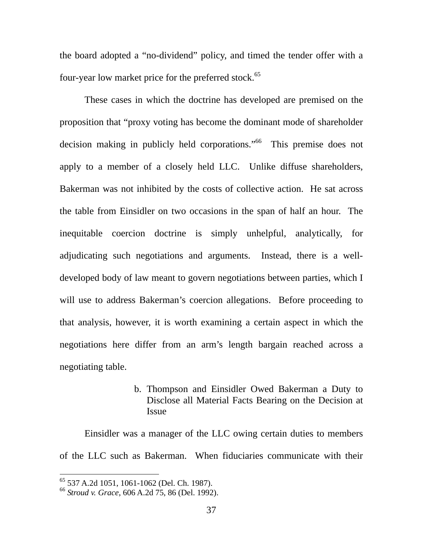the board adopted a "no-dividend" policy, and timed the tender offer with a four-year low market price for the preferred stock.<sup>65</sup>

These cases in which the doctrine has developed are premised on the proposition that "proxy voting has become the dominant mode of shareholder decision making in publicly held corporations."<sup>66</sup> This premise does not apply to a member of a closely held LLC. Unlike diffuse shareholders, Bakerman was not inhibited by the costs of collective action. He sat across the table from Einsidler on two occasions in the span of half an hour. The inequitable coercion doctrine is simply unhelpful, analytically, for adjudicating such negotiations and arguments. Instead, there is a welldeveloped body of law meant to govern negotiations between parties, which I will use to address Bakerman's coercion allegations. Before proceeding to that analysis, however, it is worth examining a certain aspect in which the negotiations here differ from an arm's length bargain reached across a negotiating table.

> b. Thompson and Einsidler Owed Bakerman a Duty to Disclose all Material Facts Bearing on the Decision at Issue

Einsidler was a manager of the LLC owing certain duties to members of the LLC such as Bakerman. When fiduciaries communicate with their

<span id="page-37-0"></span><sup>65 537</sup> A.2d 1051, 1061-1062 (Del. Ch. 1987).

<span id="page-37-1"></span><sup>66</sup> *Stroud v. Grace*, 606 A.2d 75, 86 (Del. 1992).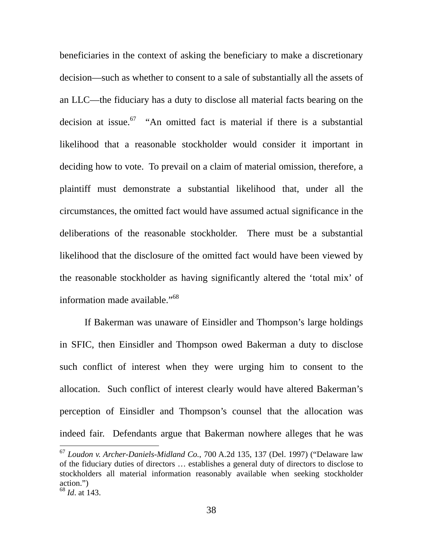beneficiaries in the context of asking the beneficiary to make a discretionary decision—such as whether to consent to a sale of substantially all the assets of an LLC—the fiduciary has a duty to disclose all material facts bearing on the decision at issue. $67$  "An omitted fact is material if there is a substantial likelihood that a reasonable stockholder would consider it important in deciding how to vote. To prevail on a claim of material omission, therefore, a plaintiff must demonstrate a substantial likelihood that, under all the circumstances, the omitted fact would have assumed actual significance in the deliberations of the reasonable stockholder. There must be a substantial likelihood that the disclosure of the omitted fact would have been viewed by the reasonable stockholder as having significantly altered the 'total mix' of information made available."[68](#page-38-1)

If Bakerman was unaware of Einsidler and Thompson's large holdings in SFIC, then Einsidler and Thompson owed Bakerman a duty to disclose such conflict of interest when they were urging him to consent to the allocation. Such conflict of interest clearly would have altered Bakerman's perception of Einsidler and Thompson's counsel that the allocation was indeed fair. Defendants argue that Bakerman nowhere alleges that he was

<span id="page-38-0"></span><sup>67</sup> *Loudon v. Archer-Daniels-Midland Co.*, 700 A.2d 135, 137 (Del. 1997) ("Delaware law of the fiduciary duties of directors … establishes a general duty of directors to disclose to stockholders all material information reasonably available when seeking stockholder action.")

<span id="page-38-1"></span><sup>68</sup> *Id*. at 143.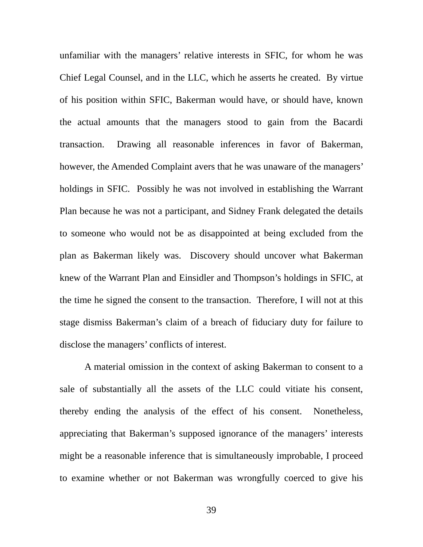unfamiliar with the managers' relative interests in SFIC, for whom he was Chief Legal Counsel, and in the LLC, which he asserts he created. By virtue of his position within SFIC, Bakerman would have, or should have, known the actual amounts that the managers stood to gain from the Bacardi transaction. Drawing all reasonable inferences in favor of Bakerman, however, the Amended Complaint avers that he was unaware of the managers' holdings in SFIC. Possibly he was not involved in establishing the Warrant Plan because he was not a participant, and Sidney Frank delegated the details to someone who would not be as disappointed at being excluded from the plan as Bakerman likely was. Discovery should uncover what Bakerman knew of the Warrant Plan and Einsidler and Thompson's holdings in SFIC, at the time he signed the consent to the transaction. Therefore, I will not at this stage dismiss Bakerman's claim of a breach of fiduciary duty for failure to disclose the managers' conflicts of interest.

A material omission in the context of asking Bakerman to consent to a sale of substantially all the assets of the LLC could vitiate his consent, thereby ending the analysis of the effect of his consent. Nonetheless, appreciating that Bakerman's supposed ignorance of the managers' interests might be a reasonable inference that is simultaneously improbable, I proceed to examine whether or not Bakerman was wrongfully coerced to give his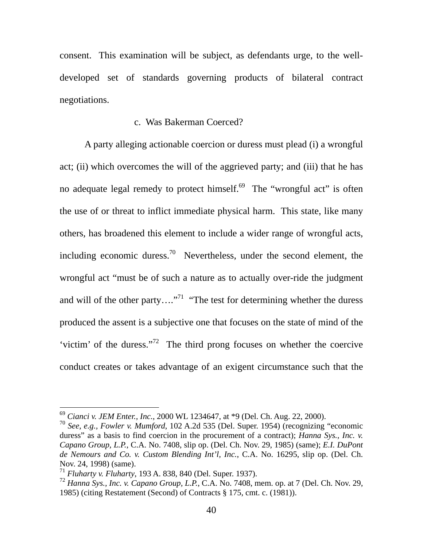consent. This examination will be subject, as defendants urge, to the welldeveloped set of standards governing products of bilateral contract negotiations.

### c. Was Bakerman Coerced?

A party alleging actionable coercion or duress must plead (i) a wrongful act; (ii) which overcomes the will of the aggrieved party; and (iii) that he has no adequate legal remedy to protect himself.<sup>69</sup> The "wrongful act" is often the use of or threat to inflict immediate physical harm. This state, like many others, has broadened this element to include a wider range of wrongful acts, including economic duress.<sup>70</sup> Nevertheless, under the second element, the wrongful act "must be of such a nature as to actually over-ride the judgment and will of the other party...."<sup>71</sup> "The test for determining whether the duress produced the assent is a subjective one that focuses on the state of mind of the 'victim' of the duress."[72](#page-40-3) The third prong focuses on whether the coercive conduct creates or takes advantage of an exigent circumstance such that the

<span id="page-40-0"></span><sup>69</sup> *Cianci v. JEM Enter., Inc.*, 2000 WL 1234647, at \*9 (Del. Ch. Aug. 22, 2000).

<span id="page-40-1"></span><sup>70</sup> *See, e.g., Fowler v. Mumford*, 102 A.2d 535 (Del. Super. 1954) (recognizing "economic duress" as a basis to find coercion in the procurement of a contract); *Hanna Sys., Inc. v. Capano Group, L.P.*, C.A. No. 7408, slip op. (Del. Ch. Nov. 29, 1985) (same); *E.I. DuPont de Nemours and Co. v. Custom Blending Int'l, Inc.*, C.A. No. 16295, slip op. (Del. Ch. Nov. 24, 1998) (same).

<span id="page-40-2"></span><sup>71</sup> *Fluharty v. Fluharty*, 193 A. 838, 840 (Del. Super. 1937).

<span id="page-40-3"></span><sup>72</sup> *Hanna Sys., Inc. v. Capano Group, L.P.*, C.A. No. 7408, mem. op. at 7 (Del. Ch. Nov. 29, 1985) (citing Restatement (Second) of Contracts § 175, cmt. c. (1981)).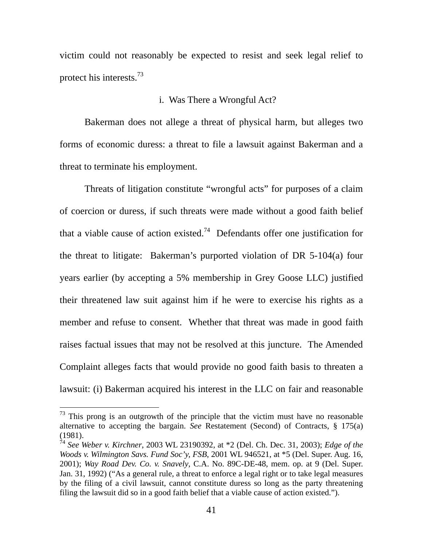victim could not reasonably be expected to resist and seek legal relief to protect his interests.[73](#page-41-0)

### i. Was There a Wrongful Act?

Bakerman does not allege a threat of physical harm, but alleges two forms of economic duress: a threat to file a lawsuit against Bakerman and a threat to terminate his employment.

Threats of litigation constitute "wrongful acts" for purposes of a claim of coercion or duress, if such threats were made without a good faith belief that a viable cause of action existed.<sup>74</sup> Defendants offer one justification for the threat to litigate: Bakerman's purported violation of DR 5-104(a) four years earlier (by accepting a 5% membership in Grey Goose LLC) justified their threatened law suit against him if he were to exercise his rights as a member and refuse to consent. Whether that threat was made in good faith raises factual issues that may not be resolved at this juncture. The Amended Complaint alleges facts that would provide no good faith basis to threaten a lawsuit: (i) Bakerman acquired his interest in the LLC on fair and reasonable

<span id="page-41-0"></span> $73$  This prong is an outgrowth of the principle that the victim must have no reasonable alternative to accepting the bargain. *See* Restatement (Second) of Contracts, § 175(a) (1981).

<span id="page-41-1"></span><sup>74</sup> *See Weber v. Kirchner*, 2003 WL 23190392, at \*2 (Del. Ch. Dec. 31, 2003); *Edge of the Woods v. Wilmington Savs. Fund Soc'y, FSB*, 2001 WL 946521, at \*5 (Del. Super. Aug. 16, 2001); *Way Road Dev. Co. v. Snavely*, C.A. No. 89C-DE-48, mem. op. at 9 (Del. Super. Jan. 31, 1992) ("As a general rule, a threat to enforce a legal right or to take legal measures by the filing of a civil lawsuit, cannot constitute duress so long as the party threatening filing the lawsuit did so in a good faith belief that a viable cause of action existed.").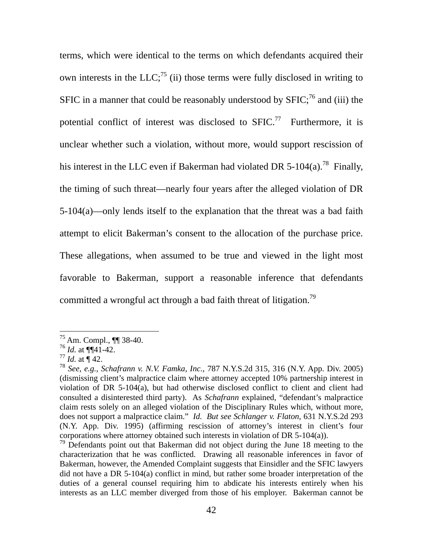<span id="page-42-4"></span>terms, which were identical to the terms on which defendants acquired their own interests in the  $LLC<sub>i</sub><sup>75</sup>$  (ii) those terms were fully disclosed in writing to SFIC in a manner that could be reasonably understood by  $SFIC$ ;<sup>76</sup> and (iii) the potential conflict of interest was disclosed to SFIC.<sup>77</sup> Furthermore, it is unclear whether such a violation, without more, would support rescission of his interest in the LLC even if Bakerman had violated DR 5-104(a).<sup>78</sup> Finally, the timing of such threat—nearly four years after the alleged violation of DR 5-104(a)—only lends itself to the explanation that the threat was a bad faith attempt to elicit Bakerman's consent to the allocation of the purchase price. These allegations, when assumed to be true and viewed in the light most favorable to Bakerman, support a reasonable inference that defendants committed a wrongful act through a bad faith threat of litigation.<sup>79</sup>

<span id="page-42-0"></span><sup>75</sup> Am. Compl., ¶¶ 38-40.

<span id="page-42-1"></span><sup>76</sup> *Id.* at ¶¶41-42.

<span id="page-42-2"></span> $77$  *Id.* at  $\P$  42.

<span id="page-42-3"></span><sup>78</sup> *See, e.g., Schafrann v. N.V. Famka, Inc.*, 787 N.Y.S.2d 315, 316 (N.Y. App. Div. 2005) (dismissing client's malpractice claim where attorney accepted 10% partnership interest in violation of DR 5-104(a), but had otherwise disclosed conflict to client and client had consulted a disinterested third party). As *Schafrann* explained, "defendant's malpractice claim rests solely on an alleged violation of the Disciplinary Rules which, without more, does not support a malpractice claim." *Id. But see Schlanger v. Flaton*, 631 N.Y.S.2d 293 (N.Y. App. Div. 1995) (affirming rescission of attorney's interest in client's four corporations where attorney obtained such interests in violation of DR 5-104(a)).

 $79$  Defendants point out that Bakerman did not object during the June 18 meeting to the characterization that he was conflicted. Drawing all reasonable inferences in favor of Bakerman, however, the Amended Complaint suggests that Einsidler and the SFIC lawyers did not have a DR 5-104(a) conflict in mind, but rather some broader interpretation of the duties of a general counsel requiring him to abdicate his interests entirely when his interests as an LLC member diverged from those of his employer. Bakerman cannot be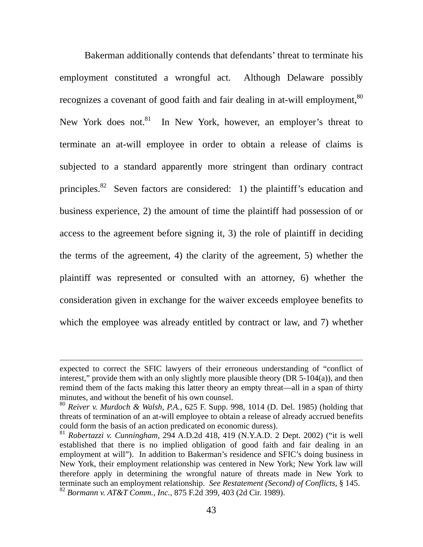Bakerman additionally contends that defendants' threat to terminate his employment constituted a wrongful act. Although Delaware possibly recognizes a covenant of good faith and fair dealing in at-will employment,<sup>[80](#page-43-0)</sup> New York does not.<sup>81</sup> In New York, however, an employer's threat to terminate an at-will employee in order to obtain a release of claims is subjected to a standard apparently more stringent than ordinary contract principles[.82](#page-43-2) Seven factors are considered: 1) the plaintiff's education and business experience, 2) the amount of time the plaintiff had possession of or access to the agreement before signing it, 3) the role of plaintiff in deciding the terms of the agreement, 4) the clarity of the agreement, 5) whether the plaintiff was represented or consulted with an attorney, 6) whether the consideration given in exchange for the waiver exceeds employee benefits to which the employee was already entitled by contract or law, and 7) whether

expected to correct the SFIC lawyers of their erroneous understanding of "conflict of interest," provide them with an only slightly more plausible theory  $(DR 5-104(a))$ , and then remind them of the facts making this latter theory an empty threat—all in a span of thirty minutes, and without the benefit of his own counsel.

<span id="page-43-0"></span><sup>80</sup> *Reiver v. Murdoch & Walsh, P.A.*, 625 F. Supp. 998, 1014 (D. Del. 1985) (holding that threats of termination of an at-will employee to obtain a release of already accrued benefits could form the basis of an action predicated on economic duress).

<span id="page-43-2"></span><span id="page-43-1"></span><sup>81</sup> *Robertazzi v. Cunningham*, 294 A.D.2d 418, 419 (N.Y.A.D. 2 Dept. 2002) ("it is well established that there is no implied obligation of good faith and fair dealing in an employment at will"). In addition to Bakerman's residence and SFIC's doing business in New York, their employment relationship was centered in New York; New York law will therefore apply in determining the wrongful nature of threats made in New York to terminate such an employment relationship. *See Restatement (Second) of Conflicts*, § 145. <sup>82</sup> *Bormann v. AT&T Comm., Inc.*, 875 F.2d 399, 403 (2d Cir. 1989).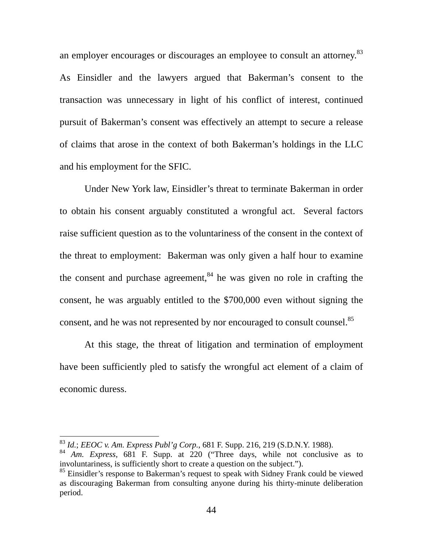an employer encourages or discourages an employee to consult an attorney.<sup>83</sup> As Einsidler and the lawyers argued that Bakerman's consent to the transaction was unnecessary in light of his conflict of interest, continued pursuit of Bakerman's consent was effectively an attempt to secure a release of claims that arose in the context of both Bakerman's holdings in the LLC and his employment for the SFIC.

Under New York law, Einsidler's threat to terminate Bakerman in order to obtain his consent arguably constituted a wrongful act. Several factors raise sufficient question as to the voluntariness of the consent in the context of the threat to employment: Bakerman was only given a half hour to examine the consent and purchase agreement,  $84$  he was given no role in crafting the consent, he was arguably entitled to the \$700,000 even without signing the consent, and he was not represented by nor encouraged to consult counsel.<sup>85</sup>

At this stage, the threat of litigation and termination of employment have been sufficiently pled to satisfy the wrongful act element of a claim of economic duress.

<span id="page-44-0"></span><sup>83</sup> *Id.*; *EEOC v. Am. Express Publ'g Corp.*, 681 F. Supp. 216, 219 (S.D.N.Y. 1988).

<span id="page-44-1"></span><sup>84</sup> *Am. Express*, 681 F. Supp. at 220 ("Three days, while not conclusive as to involuntariness, is sufficiently short to create a question on the subject.").

<span id="page-44-2"></span><sup>&</sup>lt;sup>85</sup> Einsidler's response to Bakerman's request to speak with Sidney Frank could be viewed as discouraging Bakerman from consulting anyone during his thirty-minute deliberation period.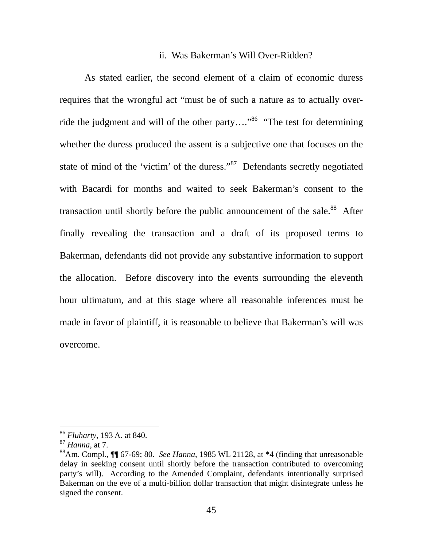#### ii. Was Bakerman's Will Over-Ridden?

As stated earlier, the second element of a claim of economic duress requires that the wrongful act "must be of such a nature as to actually override the judgment and will of the other party...."<sup>86</sup> "The test for determining whether the duress produced the assent is a subjective one that focuses on the state of mind of the 'victim' of the duress."<sup>87</sup> Defendants secretly negotiated with Bacardi for months and waited to seek Bakerman's consent to the transaction until shortly before the public announcement of the sale.<sup>88</sup> After finally revealing the transaction and a draft of its proposed terms to Bakerman, defendants did not provide any substantive information to support the allocation. Before discovery into the events surrounding the eleventh hour ultimatum, and at this stage where all reasonable inferences must be made in favor of plaintiff, it is reasonable to believe that Bakerman's will was overcome.

<span id="page-45-0"></span><sup>86</sup> *Fluharty*, 193 A. at 840.

<span id="page-45-1"></span><sup>87</sup> *Hanna*, at 7.

<span id="page-45-2"></span><sup>88</sup>Am. Compl., ¶¶ 67-69; 80. *See Hanna*, 1985 WL 21128, at \*4 (finding that unreasonable delay in seeking consent until shortly before the transaction contributed to overcoming party's will). According to the Amended Complaint, defendants intentionally surprised Bakerman on the eve of a multi-billion dollar transaction that might disintegrate unless he signed the consent.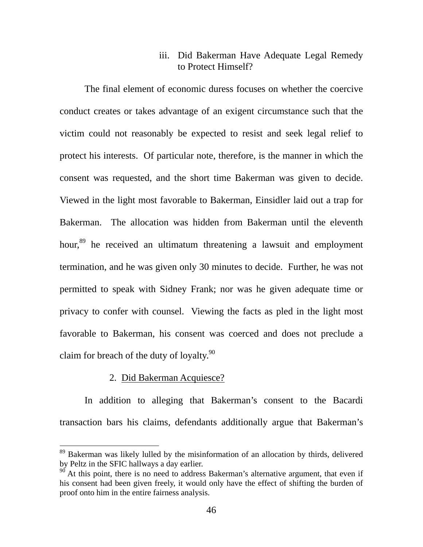# iii. Did Bakerman Have Adequate Legal Remedy to Protect Himself?

The final element of economic duress focuses on whether the coercive conduct creates or takes advantage of an exigent circumstance such that the victim could not reasonably be expected to resist and seek legal relief to protect his interests. Of particular note, therefore, is the manner in which the consent was requested, and the short time Bakerman was given to decide. Viewed in the light most favorable to Bakerman, Einsidler laid out a trap for Bakerman. The allocation was hidden from Bakerman until the eleventh hour,<sup>89</sup> he received an ultimatum threatening a lawsuit and employment termination, and he was given only 30 minutes to decide. Further, he was not permitted to speak with Sidney Frank; nor was he given adequate time or privacy to confer with counsel. Viewing the facts as pled in the light most favorable to Bakerman, his consent was coerced and does not preclude a claim for breach of the duty of loyalty. $90$ 

### 2. Did Bakerman Acquiesce?

 $\overline{a}$ 

In addition to alleging that Bakerman's consent to the Bacardi transaction bars his claims, defendants additionally argue that Bakerman's

<span id="page-46-0"></span> $89$  Bakerman was likely lulled by the misinformation of an allocation by thirds, delivered by Peltz in the SFIC hallways a day earlier.

<span id="page-46-1"></span> $\frac{90}{90}$  At this point, there is no need to address Bakerman's alternative argument, that even if his consent had been given freely, it would only have the effect of shifting the burden of proof onto him in the entire fairness analysis.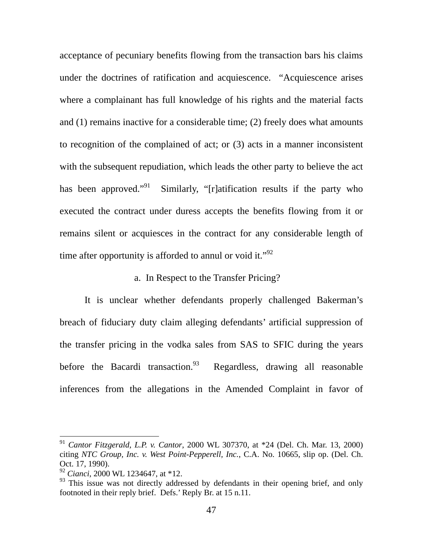acceptance of pecuniary benefits flowing from the transaction bars his claims under the doctrines of ratification and acquiescence. "Acquiescence arises where a complainant has full knowledge of his rights and the material facts and (1) remains inactive for a considerable time; (2) freely does what amounts to recognition of the complained of act; or (3) acts in a manner inconsistent with the subsequent repudiation, which leads the other party to believe the act has been approved."<sup>91</sup> Similarly, "[r]atification results if the party who executed the contract under duress accepts the benefits flowing from it or remains silent or acquiesces in the contract for any considerable length of time after opportunity is afforded to annul or void it." $^{92}$  $^{92}$  $^{92}$ 

a. In Respect to the Transfer Pricing?

It is unclear whether defendants properly challenged Bakerman's breach of fiduciary duty claim alleging defendants' artificial suppression of the transfer pricing in the vodka sales from SAS to SFIC during the years before the Bacardi transaction.  $93$  Regardless, drawing all reasonable inferences from the allegations in the Amended Complaint in favor of

<span id="page-47-0"></span><sup>91</sup> *Cantor Fitzgerald, L.P. v. Cantor*, 2000 WL 307370, at \*24 (Del. Ch. Mar. 13, 2000) citing *NTC Group, Inc. v. West Point-Pepperell, Inc.*, C.A. No. 10665, slip op. (Del. Ch. Oct. 17, 1990).

<span id="page-47-1"></span><sup>92</sup> *Cianci*, 2000 WL 1234647, at \*12.

<span id="page-47-2"></span><sup>&</sup>lt;sup>93</sup> This issue was not directly addressed by defendants in their opening brief, and only footnoted in their reply brief. Defs.' Reply Br. at 15 n.11.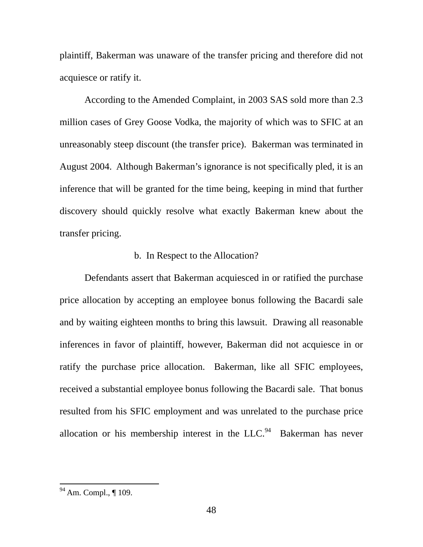plaintiff, Bakerman was unaware of the transfer pricing and therefore did not acquiesce or ratify it.

According to the Amended Complaint, in 2003 SAS sold more than 2.3 million cases of Grey Goose Vodka, the majority of which was to SFIC at an unreasonably steep discount (the transfer price). Bakerman was terminated in August 2004. Although Bakerman's ignorance is not specifically pled, it is an inference that will be granted for the time being, keeping in mind that further discovery should quickly resolve what exactly Bakerman knew about the transfer pricing.

# b. In Respect to the Allocation?

Defendants assert that Bakerman acquiesced in or ratified the purchase price allocation by accepting an employee bonus following the Bacardi sale and by waiting eighteen months to bring this lawsuit. Drawing all reasonable inferences in favor of plaintiff, however, Bakerman did not acquiesce in or ratify the purchase price allocation. Bakerman, like all SFIC employees, received a substantial employee bonus following the Bacardi sale. That bonus resulted from his SFIC employment and was unrelated to the purchase price allocation or his membership interest in the  $LLC<sup>94</sup>$  Bakerman has never

<span id="page-48-0"></span> $94$  Am. Compl.,  $\P$  109.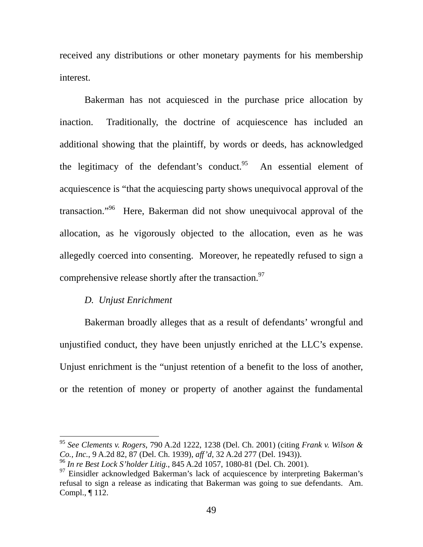received any distributions or other monetary payments for his membership interest.

Bakerman has not acquiesced in the purchase price allocation by inaction. Traditionally, the doctrine of acquiescence has included an additional showing that the plaintiff, by words or deeds, has acknowledged the legitimacy of the defendant's conduct. An essential element of acquiescence is "that the acquiescing party shows unequivocal approval of the transaction."[96](#page-49-1) Here, Bakerman did not show unequivocal approval of the allocation, as he vigorously objected to the allocation, even as he was allegedly coerced into consenting. Moreover, he repeatedly refused to sign a comprehensive release shortly after the transaction.<sup>97</sup>

## *D. Unjust Enrichment*

 $\overline{a}$ 

Bakerman broadly alleges that as a result of defendants' wrongful and unjustified conduct, they have been unjustly enriched at the LLC's expense. Unjust enrichment is the "unjust retention of a benefit to the loss of another, or the retention of money or property of another against the fundamental

<span id="page-49-0"></span><sup>95</sup> *See Clements v. Rogers*, 790 A.2d 1222, 1238 (Del. Ch. 2001) (citing *Frank v. Wilson & Co., Inc.*, 9 A.2d 82, 87 (Del. Ch. 1939), *aff'd*, 32 A.2d 277 (Del. 1943)).

<span id="page-49-1"></span><sup>96</sup> *In re Best Lock S'holder Litig.*, 845 A.2d 1057, 1080-81 (Del. Ch. 2001).

<span id="page-49-2"></span><sup>&</sup>lt;sup>97</sup> Einsidler acknowledged Bakerman's lack of acquiescence by interpreting Bakerman's refusal to sign a release as indicating that Bakerman was going to sue defendants. Am. Compl., ¶ 112.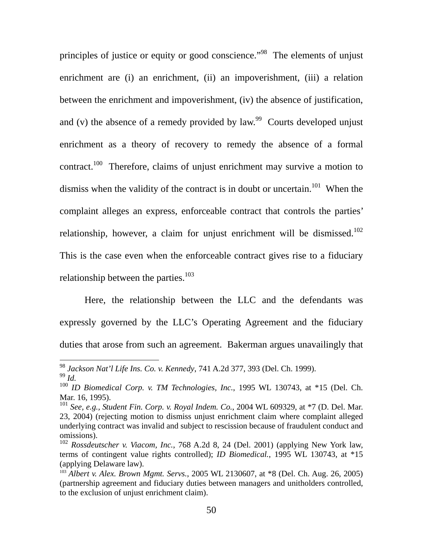principles of justice or equity or good conscience."<sup>98</sup> The elements of unjust enrichment are (i) an enrichment, (ii) an impoverishment, (iii) a relation between the enrichment and impoverishment, (iv) the absence of justification, and (v) the absence of a remedy provided by law.<sup>99</sup> Courts developed unjust enrichment as a theory of recovery to remedy the absence of a formal contract.<sup>100</sup> Therefore, claims of unjust enrichment may survive a motion to dismiss when the validity of the contract is in doubt or uncertain.<sup>101</sup> When the complaint alleges an express, enforceable contract that controls the parties' relationship, however, a claim for unjust enrichment will be dismissed.<sup>102</sup> This is the case even when the enforceable contract gives rise to a fiduciary relationship between the parties. $103$ 

Here, the relationship between the LLC and the defendants was expressly governed by the LLC's Operating Agreement and the fiduciary duties that arose from such an agreement. Bakerman argues unavailingly that

<span id="page-50-0"></span><sup>98</sup> *Jackson Nat'l Life Ins. Co. v. Kennedy*, 741 A.2d 377, 393 (Del. Ch. 1999). <sup>99</sup> *Id.* 

<span id="page-50-2"></span><span id="page-50-1"></span><sup>100</sup> *ID Biomedical Corp. v. TM Technologies, Inc.*, 1995 WL 130743, at \*15 (Del. Ch. Mar. 16, 1995).

<span id="page-50-3"></span><sup>101</sup> *See, e.g., Student Fin. Corp. v. Royal Indem. Co.*, 2004 WL 609329, at \*7 (D. Del. Mar. 23, 2004) (rejecting motion to dismiss unjust enrichment claim where complaint alleged underlying contract was invalid and subject to rescission because of fraudulent conduct and omissions).

<span id="page-50-4"></span><sup>102</sup> *Rossdeutscher v. Viacom, Inc.*, 768 A.2d 8, 24 (Del. 2001) (applying New York law, terms of contingent value rights controlled); *ID Biomedical.*, 1995 WL 130743, at \*15 (applying Delaware law). 103 *Albert v. Alex. Brown Mgmt. Servs.*, 2005 WL 2130607, at \*8 (Del. Ch. Aug. 26, 2005)

<span id="page-50-5"></span><sup>(</sup>partnership agreement and fiduciary duties between managers and unitholders controlled, to the exclusion of unjust enrichment claim).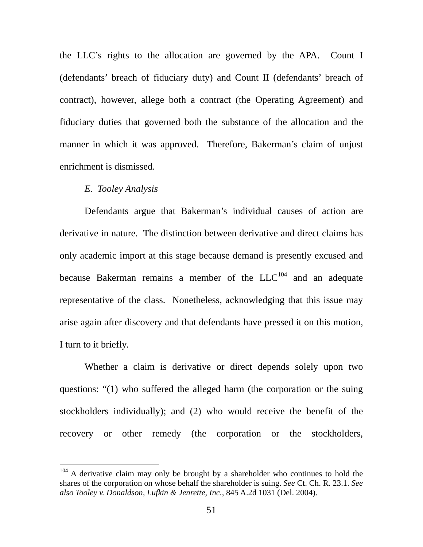the LLC's rights to the allocation are governed by the APA. Count I (defendants' breach of fiduciary duty) and Count II (defendants' breach of contract), however, allege both a contract (the Operating Agreement) and fiduciary duties that governed both the substance of the allocation and the manner in which it was approved. Therefore, Bakerman's claim of unjust enrichment is dismissed.

#### *E. Tooley Analysis*

 $\overline{a}$ 

Defendants argue that Bakerman's individual causes of action are derivative in nature. The distinction between derivative and direct claims has only academic import at this stage because demand is presently excused and because Bakerman remains a member of the  $LLC^{104}$  and an adequate representative of the class. Nonetheless, acknowledging that this issue may arise again after discovery and that defendants have pressed it on this motion, I turn to it briefly.

Whether a claim is derivative or direct depends solely upon two questions: "(1) who suffered the alleged harm (the corporation or the suing stockholders individually); and (2) who would receive the benefit of the recovery or other remedy (the corporation or the stockholders,

<span id="page-51-0"></span> $104$  A derivative claim may only be brought by a shareholder who continues to hold the shares of the corporation on whose behalf the shareholder is suing. *See* Ct. Ch. R. 23.1. *See also Tooley v. Donaldson, Lufkin & Jenrette, Inc.*, 845 A.2d 1031 (Del. 2004).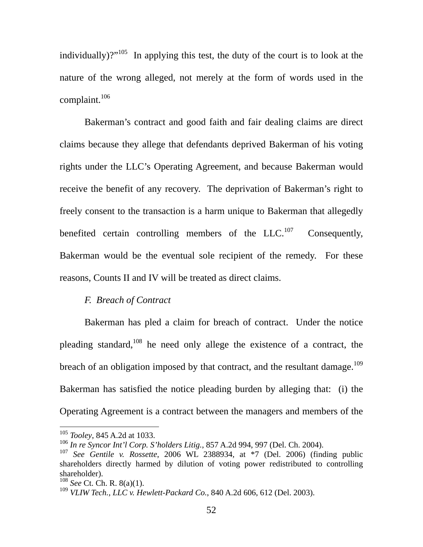individually)?"<sup>105</sup> In applying this test, the duty of the court is to look at the nature of the wrong alleged, not merely at the form of words used in the complaint. $106$ 

Bakerman's contract and good faith and fair dealing claims are direct claims because they allege that defendants deprived Bakerman of his voting rights under the LLC's Operating Agreement, and because Bakerman would receive the benefit of any recovery. The deprivation of Bakerman's right to freely consent to the transaction is a harm unique to Bakerman that allegedly benefited certain controlling members of the  $LLC$ <sup>107</sup> Consequently, Bakerman would be the eventual sole recipient of the remedy. For these reasons, Counts II and IV will be treated as direct claims.

## *F. Breach of Contract*

Bakerman has pled a claim for breach of contract. Under the notice pleading standard, $108$  he need only allege the existence of a contract, the breach of an obligation imposed by that contract, and the resultant damage.<sup>109</sup> Bakerman has satisfied the notice pleading burden by alleging that: (i) the Operating Agreement is a contract between the managers and members of the

<span id="page-52-0"></span><sup>105</sup> *Tooley*, 845 A.2d at 1033.

<span id="page-52-1"></span><sup>106</sup> *In re Syncor Int'l Corp. S'holders Litig.*, 857 A.2d 994, 997 (Del. Ch. 2004).

<span id="page-52-2"></span><sup>107</sup> *See Gentile v. Rossette*, 2006 WL 2388934, at \*7 (Del. 2006) (finding public shareholders directly harmed by dilution of voting power redistributed to controlling shareholder).

<span id="page-52-3"></span><sup>108</sup> *See* Ct. Ch. R. 8(a)(1).

<span id="page-52-4"></span><sup>109</sup> *VLIW Tech., LLC v. Hewlett-Packard Co.*, 840 A.2d 606, 612 (Del. 2003).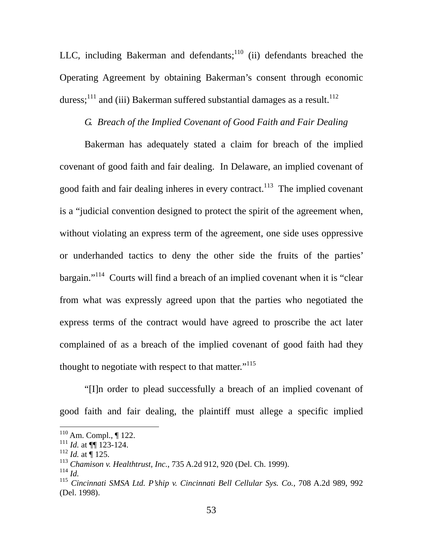LLC, including Bakerman and defendants; $110$  (ii) defendants breached the Operating Agreement by obtaining Bakerman's consent through economic duress;<sup>111</sup> and (iii) Bakerman suffered substantial damages as a result.<sup>[112](#page-53-2)</sup>

## *G. Breach of the Implied Covenant of Good Faith and Fair Dealing*

Bakerman has adequately stated a claim for breach of the implied covenant of good faith and fair dealing. In Delaware, an implied covenant of good faith and fair dealing inheres in every contract.<sup>113</sup> The implied covenant is a "judicial convention designed to protect the spirit of the agreement when, without violating an express term of the agreement, one side uses oppressive or underhanded tactics to deny the other side the fruits of the parties' bargain."[114](#page-53-4) Courts will find a breach of an implied covenant when it is "clear from what was expressly agreed upon that the parties who negotiated the express terms of the contract would have agreed to proscribe the act later complained of as a breach of the implied covenant of good faith had they thought to negotiate with respect to that matter."<sup>115</sup>

"[I]n order to plead successfully a breach of an implied covenant of good faith and fair dealing, the plaintiff must allege a specific implied

<span id="page-53-0"></span> $110$  Am. Compl.,  $\P$  122.

<span id="page-53-1"></span> $\frac{111}{111}$  *Id.* at  $\P\P$  123-124.

<span id="page-53-2"></span> $112$  *Id.* at  $\frac{125}{125}$ .

<span id="page-53-3"></span><sup>113</sup> *Chamison v. Healthtrust, Inc.*, 735 A.2d 912, 920 (Del. Ch. 1999).

<span id="page-53-4"></span><sup>114</sup> *Id.* 

<span id="page-53-5"></span><sup>115</sup> *Cincinnati SMSA Ltd. P'ship v. Cincinnati Bell Cellular Sys. Co.*, 708 A.2d 989, 992 (Del. 1998).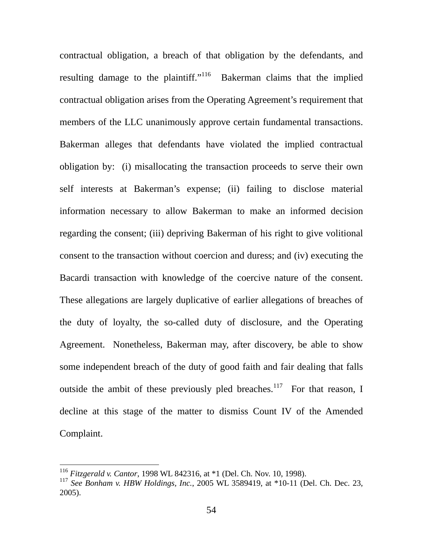contractual obligation, a breach of that obligation by the defendants, and resulting damage to the plaintiff."<sup>116</sup> Bakerman claims that the implied contractual obligation arises from the Operating Agreement's requirement that members of the LLC unanimously approve certain fundamental transactions. Bakerman alleges that defendants have violated the implied contractual obligation by: (i) misallocating the transaction proceeds to serve their own self interests at Bakerman's expense; (ii) failing to disclose material information necessary to allow Bakerman to make an informed decision regarding the consent; (iii) depriving Bakerman of his right to give volitional consent to the transaction without coercion and duress; and (iv) executing the Bacardi transaction with knowledge of the coercive nature of the consent. These allegations are largely duplicative of earlier allegations of breaches of the duty of loyalty, the so-called duty of disclosure, and the Operating Agreement. Nonetheless, Bakerman may, after discovery, be able to show some independent breach of the duty of good faith and fair dealing that falls outside the ambit of these previously pled breaches.<sup>117</sup> For that reason, I decline at this stage of the matter to dismiss Count IV of the Amended Complaint.

<span id="page-54-0"></span><sup>116</sup> *Fitzgerald v. Cantor*, 1998 WL 842316, at \*1 (Del. Ch. Nov. 10, 1998).

<span id="page-54-1"></span><sup>117</sup> *See Bonham v. HBW Holdings, Inc.*, 2005 WL 3589419, at \*10-11 (Del. Ch. Dec. 23, 2005).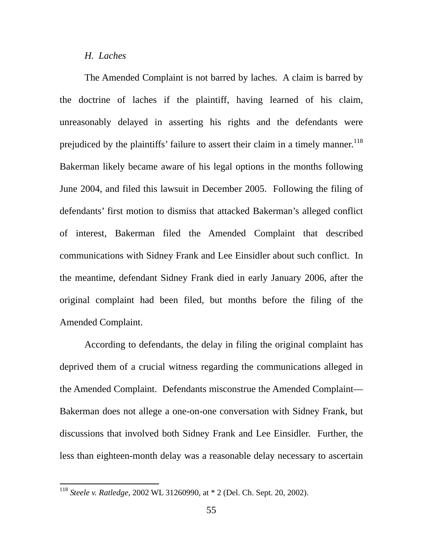#### *H. Laches*

The Amended Complaint is not barred by laches. A claim is barred by the doctrine of laches if the plaintiff, having learned of his claim, unreasonably delayed in asserting his rights and the defendants were prejudiced by the plaintiffs' failure to assert their claim in a timely manner.<sup>118</sup> Bakerman likely became aware of his legal options in the months following June 2004, and filed this lawsuit in December 2005. Following the filing of defendants' first motion to dismiss that attacked Bakerman's alleged conflict of interest, Bakerman filed the Amended Complaint that described communications with Sidney Frank and Lee Einsidler about such conflict. In the meantime, defendant Sidney Frank died in early January 2006, after the original complaint had been filed, but months before the filing of the Amended Complaint.

According to defendants, the delay in filing the original complaint has deprived them of a crucial witness regarding the communications alleged in the Amended Complaint. Defendants misconstrue the Amended Complaint— Bakerman does not allege a one-on-one conversation with Sidney Frank, but discussions that involved both Sidney Frank and Lee Einsidler. Further, the less than eighteen-month delay was a reasonable delay necessary to ascertain

<span id="page-55-0"></span><sup>118</sup> *Steele v. Ratledge*, 2002 WL 31260990, at \* 2 (Del. Ch. Sept. 20, 2002).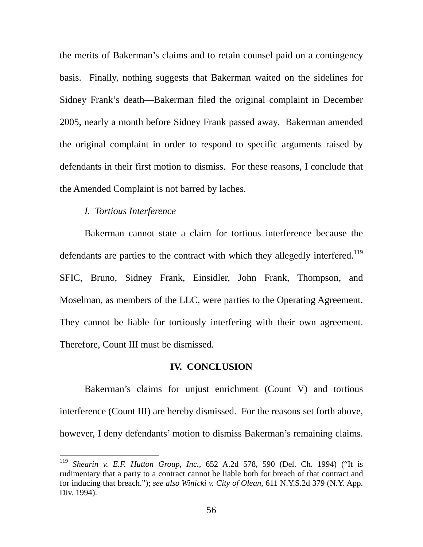the merits of Bakerman's claims and to retain counsel paid on a contingency basis. Finally, nothing suggests that Bakerman waited on the sidelines for Sidney Frank's death—Bakerman filed the original complaint in December 2005, nearly a month before Sidney Frank passed away. Bakerman amended the original complaint in order to respond to specific arguments raised by defendants in their first motion to dismiss. For these reasons, I conclude that the Amended Complaint is not barred by laches.

#### *I. Tortious Interference*

 $\overline{a}$ 

Bakerman cannot state a claim for tortious interference because the defendants are parties to the contract with which they allegedly interfered.<sup>119</sup> SFIC, Bruno, Sidney Frank, Einsidler, John Frank, Thompson, and Moselman, as members of the LLC, were parties to the Operating Agreement. They cannot be liable for tortiously interfering with their own agreement. Therefore, Count III must be dismissed.

### **IV. CONCLUSION**

Bakerman's claims for unjust enrichment (Count V) and tortious interference (Count III) are hereby dismissed. For the reasons set forth above, however, I deny defendants' motion to dismiss Bakerman's remaining claims.

<span id="page-56-0"></span><sup>119</sup> *Shearin v. E.F. Hutton Group, Inc.*, 652 A.2d 578, 590 (Del. Ch. 1994) ("It is rudimentary that a party to a contract cannot be liable both for breach of that contract and for inducing that breach."); *see also Winicki v. City of Olean*, 611 N.Y.S.2d 379 (N.Y. App. Div. 1994).